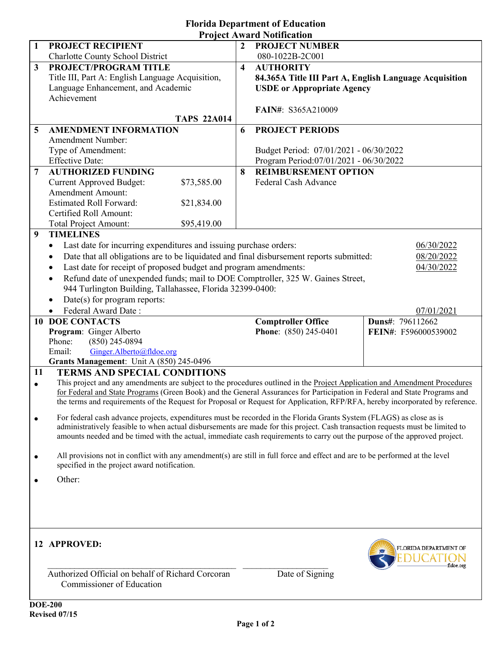|                | <b>Project Award Notification</b>                                                                                                                                                                                                                      |                         |                                                        |                       |
|----------------|--------------------------------------------------------------------------------------------------------------------------------------------------------------------------------------------------------------------------------------------------------|-------------------------|--------------------------------------------------------|-----------------------|
| 1              | PROJECT RECIPIENT                                                                                                                                                                                                                                      | $\mathbf{2}$            | <b>PROJECT NUMBER</b>                                  |                       |
|                | <b>Charlotte County School District</b>                                                                                                                                                                                                                |                         | 080-1022B-2C001                                        |                       |
| 3              | PROJECT/PROGRAM TITLE                                                                                                                                                                                                                                  | $\overline{\mathbf{4}}$ | <b>AUTHORITY</b>                                       |                       |
|                | Title III, Part A: English Language Acquisition,                                                                                                                                                                                                       |                         | 84.365A Title III Part A, English Language Acquisition |                       |
|                | Language Enhancement, and Academic                                                                                                                                                                                                                     |                         | <b>USDE</b> or Appropriate Agency                      |                       |
|                | Achievement                                                                                                                                                                                                                                            |                         |                                                        |                       |
|                |                                                                                                                                                                                                                                                        |                         | <b>FAIN#: S365A210009</b>                              |                       |
|                | <b>TAPS 22A014</b>                                                                                                                                                                                                                                     |                         |                                                        |                       |
| 5              | <b>AMENDMENT INFORMATION</b>                                                                                                                                                                                                                           | 6                       | <b>PROJECT PERIODS</b>                                 |                       |
|                | Amendment Number:                                                                                                                                                                                                                                      |                         |                                                        |                       |
|                | Type of Amendment:                                                                                                                                                                                                                                     |                         | Budget Period: 07/01/2021 - 06/30/2022                 |                       |
|                | <b>Effective Date:</b>                                                                                                                                                                                                                                 |                         | Program Period:07/01/2021 - 06/30/2022                 |                       |
| $\overline{7}$ | <b>AUTHORIZED FUNDING</b>                                                                                                                                                                                                                              | 8                       | <b>REIMBURSEMENT OPTION</b>                            |                       |
|                | <b>Current Approved Budget:</b><br>\$73,585.00                                                                                                                                                                                                         |                         | Federal Cash Advance                                   |                       |
|                | <b>Amendment Amount:</b>                                                                                                                                                                                                                               |                         |                                                        |                       |
|                | <b>Estimated Roll Forward:</b><br>\$21,834.00                                                                                                                                                                                                          |                         |                                                        |                       |
|                | Certified Roll Amount:                                                                                                                                                                                                                                 |                         |                                                        |                       |
|                | <b>Total Project Amount:</b><br>\$95,419.00                                                                                                                                                                                                            |                         |                                                        |                       |
| 9              | <b>TIMELINES</b>                                                                                                                                                                                                                                       |                         |                                                        |                       |
|                | Last date for incurring expenditures and issuing purchase orders:<br>$\bullet$                                                                                                                                                                         |                         |                                                        | 06/30/2022            |
|                | Date that all obligations are to be liquidated and final disbursement reports submitted:                                                                                                                                                               |                         |                                                        |                       |
|                | $\bullet$                                                                                                                                                                                                                                              |                         |                                                        | 08/20/2022            |
|                | Last date for receipt of proposed budget and program amendments:<br>$\bullet$                                                                                                                                                                          |                         |                                                        | 04/30/2022            |
|                | Refund date of unexpended funds; mail to DOE Comptroller, 325 W. Gaines Street,<br>$\bullet$                                                                                                                                                           |                         |                                                        |                       |
|                | 944 Turlington Building, Tallahassee, Florida 32399-0400:                                                                                                                                                                                              |                         |                                                        |                       |
|                | Date(s) for program reports:                                                                                                                                                                                                                           |                         |                                                        |                       |
|                | Federal Award Date:                                                                                                                                                                                                                                    |                         |                                                        | 07/01/2021            |
|                |                                                                                                                                                                                                                                                        |                         |                                                        |                       |
|                | <b>10 DOE CONTACTS</b>                                                                                                                                                                                                                                 |                         | <b>Comptroller Office</b>                              | Duns#: 796112662      |
|                | Program: Ginger Alberto                                                                                                                                                                                                                                |                         | Phone: (850) 245-0401                                  | FEIN#: F596000539002  |
|                | Phone:<br>$(850)$ 245-0894                                                                                                                                                                                                                             |                         |                                                        |                       |
|                | Ginger.Alberto@fldoe.org<br>Email:                                                                                                                                                                                                                     |                         |                                                        |                       |
|                | Grants Management: Unit A (850) 245-0496                                                                                                                                                                                                               |                         |                                                        |                       |
| 11             | <b>TERMS AND SPECIAL CONDITIONS</b>                                                                                                                                                                                                                    |                         |                                                        |                       |
| $\bullet$      | This project and any amendments are subject to the procedures outlined in the Project Application and Amendment Procedures                                                                                                                             |                         |                                                        |                       |
|                | for Federal and State Programs (Green Book) and the General Assurances for Participation in Federal and State Programs and                                                                                                                             |                         |                                                        |                       |
|                | the terms and requirements of the Request for Proposal or Request for Application, RFP/RFA, hereby incorporated by reference.                                                                                                                          |                         |                                                        |                       |
|                |                                                                                                                                                                                                                                                        |                         |                                                        |                       |
|                | For federal cash advance projects, expenditures must be recorded in the Florida Grants System (FLAGS) as close as is<br>administratively feasible to when actual disbursements are made for this project. Cash transaction requests must be limited to |                         |                                                        |                       |
|                | amounts needed and be timed with the actual, immediate cash requirements to carry out the purpose of the approved project.                                                                                                                             |                         |                                                        |                       |
|                |                                                                                                                                                                                                                                                        |                         |                                                        |                       |
| $\bullet$      | All provisions not in conflict with any amendment(s) are still in full force and effect and are to be performed at the level                                                                                                                           |                         |                                                        |                       |
|                | specified in the project award notification.                                                                                                                                                                                                           |                         |                                                        |                       |
| $\bullet$      | Other:                                                                                                                                                                                                                                                 |                         |                                                        |                       |
|                |                                                                                                                                                                                                                                                        |                         |                                                        |                       |
|                |                                                                                                                                                                                                                                                        |                         |                                                        |                       |
|                |                                                                                                                                                                                                                                                        |                         |                                                        |                       |
|                |                                                                                                                                                                                                                                                        |                         |                                                        |                       |
|                |                                                                                                                                                                                                                                                        |                         |                                                        |                       |
|                |                                                                                                                                                                                                                                                        |                         |                                                        |                       |
|                | 12 APPR                                                                                                                                                                                                                                                |                         |                                                        | FLORIDA DEPARTMENT OF |
|                |                                                                                                                                                                                                                                                        |                         | 8-20-2021                                              |                       |
|                |                                                                                                                                                                                                                                                        |                         |                                                        |                       |
|                | d Corcoran<br>Author                                                                                                                                                                                                                                   |                         | Date of Signing                                        |                       |
|                | Commissioner of Education                                                                                                                                                                                                                              |                         |                                                        |                       |

**Florida Department of Education**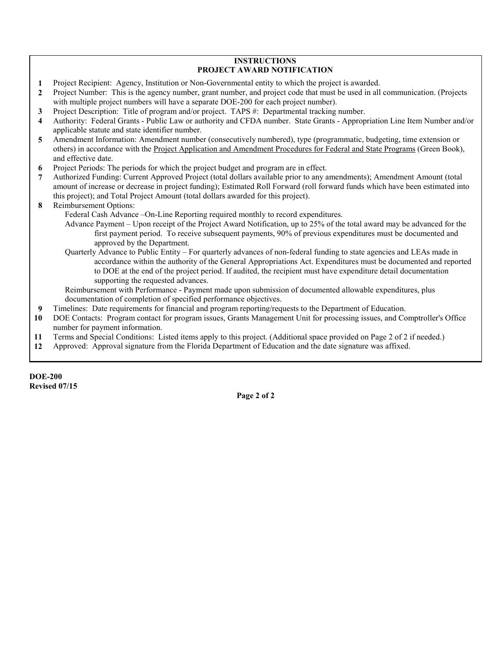## **INSTRUCTIONS PROJECT AWARD NOTIFICATION**

 **1** Project Recipient: Agency, Institution or Non-Governmental entity to which the project is awarded.

 **2** Project Number: This is the agency number, grant number, and project code that must be used in all communication. (Projects with multiple project numbers will have a separate DOE-200 for each project number).

- **3** Project Description: Title of program and/or project. TAPS #: Departmental tracking number.
- **4** Authority: Federal Grants Public Law or authority and CFDA number. State Grants Appropriation Line Item Number and/or applicable statute and state identifier number.
- **5** Amendment Information: Amendment number (consecutively numbered), type (programmatic, budgeting, time extension or others) in accordance with the Project Application and Amendment Procedures for Federal and State Programs (Green Book), and effective date.
- **6** Project Periods: The periods for which the project budget and program are in effect.
- **7** Authorized Funding: Current Approved Project (total dollars available prior to any amendments); Amendment Amount (total amount of increase or decrease in project funding); Estimated Roll Forward (roll forward funds which have been estimated into this project); and Total Project Amount (total dollars awarded for this project).
- **8** Reimbursement Options:
	- Federal Cash Advance –On-Line Reporting required monthly to record expenditures.
		- Advance Payment Upon receipt of the Project Award Notification, up to 25% of the total award may be advanced for the first payment period. To receive subsequent payments, 90% of previous expenditures must be documented and approved by the Department.
		- Quarterly Advance to Public Entity For quarterly advances of non-federal funding to state agencies and LEAs made in accordance within the authority of the General Appropriations Act. Expenditures must be documented and reported to DOE at the end of the project period. If audited, the recipient must have expenditure detail documentation supporting the requested advances.

Reimbursement with Performance - Payment made upon submission of documented allowable expenditures, plus documentation of completion of specified performance objectives.

- **9** Timelines: Date requirements for financial and program reporting/requests to the Department of Education.
- **10** DOE Contacts: Program contact for program issues, Grants Management Unit for processing issues, and Comptroller's Office number for payment information.
- **11** Terms and Special Conditions: Listed items apply to this project. (Additional space provided on Page 2 of 2 if needed.)
- **12** Approved: Approval signature from the Florida Department of Education and the date signature was affixed.

**DOE-200 Revised 07/15**

**Page 2 of 2**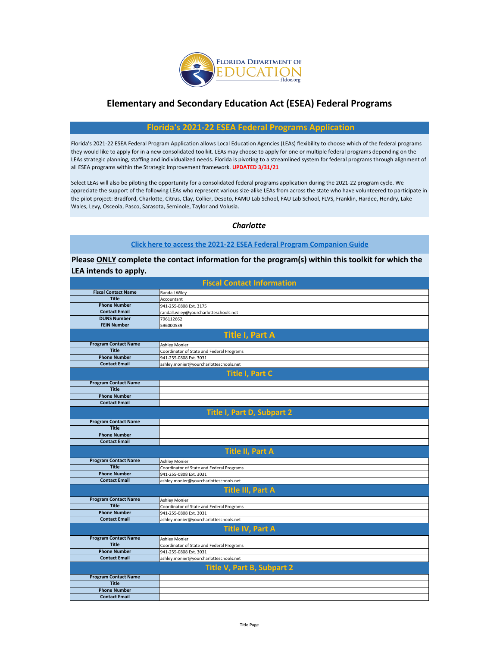

## **Elementary and Secondary Education Act (ESEA) Federal Programs**

## **Florida's 2021-22 ESEA Federal Programs Application**

Florida's 2021-22 ESEA Federal Program Application allows Local Education Agencies (LEAs) flexibility to choose which of the federal programs they would like to apply for in a new consolidated toolkit. LEAs may choose to apply for one or multiple federal programs depending on the LEAs strategic planning, staffing and individualized needs. Florida is pivoting to a streamlined system for federal programs through alignment of all ESEA programs within the Strategic Improvement framework. **UPDATED 3/31/21**

Select LEAs will also be piloting the opportunity for a consolidated federal programs application during the 2021-22 program cycle. We appreciate the support of the following LEAs who represent various size-alike LEAs from across the state who have volunteered to participate in the pilot project: Bradford, Charlotte, Citrus, Clay, Collier, Desoto, FAMU Lab School, FAU Lab School, FLVS, Franklin, Hardee, Hendry, Lake Wales, Levy, Osceola, Pasco, Sarasota, Seminole, Taylor and Volusia.

## *Charlotte*

## **[Click here to access the 2021-22 ESEA Federal Program Companion Guide](https://www.floridacims.org/downloads?category=common-federal-guidance)**

**Please ONLY complete the contact information for the program(s) within this toolkit for which the LEA intends to apply.** 

| <b>Fiscal Contact Information</b> |                                           |  |  |  |  |  |  |  |
|-----------------------------------|-------------------------------------------|--|--|--|--|--|--|--|
| <b>Fiscal Contact Name</b>        | <b>Randall Wiley</b>                      |  |  |  |  |  |  |  |
| <b>Title</b>                      | Accountant                                |  |  |  |  |  |  |  |
| <b>Phone Number</b>               | 941-255-0808 Ext. 3175                    |  |  |  |  |  |  |  |
| <b>Contact Email</b>              | randall.wiley@yourcharlotteschools.net    |  |  |  |  |  |  |  |
| <b>DUNS Number</b>                | 796112662                                 |  |  |  |  |  |  |  |
| <b>FEIN Number</b>                | 596000539                                 |  |  |  |  |  |  |  |
|                                   | <b>Title I, Part A</b>                    |  |  |  |  |  |  |  |
| <b>Program Contact Name</b>       | Ashley Monier                             |  |  |  |  |  |  |  |
| <b>Title</b>                      | Coordinator of State and Federal Programs |  |  |  |  |  |  |  |
| <b>Phone Number</b>               | 941-255-0808 Ext. 3031                    |  |  |  |  |  |  |  |
| <b>Contact Email</b>              | ashley.monier@yourcharlotteschools.net    |  |  |  |  |  |  |  |
|                                   | <b>Title I, Part C</b>                    |  |  |  |  |  |  |  |
| <b>Program Contact Name</b>       |                                           |  |  |  |  |  |  |  |
| <b>Title</b>                      |                                           |  |  |  |  |  |  |  |
| <b>Phone Number</b>               |                                           |  |  |  |  |  |  |  |
| <b>Contact Email</b>              |                                           |  |  |  |  |  |  |  |
|                                   | <b>Title I, Part D, Subpart 2</b>         |  |  |  |  |  |  |  |
| <b>Program Contact Name</b>       |                                           |  |  |  |  |  |  |  |
| <b>Title</b>                      |                                           |  |  |  |  |  |  |  |
| <b>Phone Number</b>               |                                           |  |  |  |  |  |  |  |
| <b>Contact Email</b>              |                                           |  |  |  |  |  |  |  |
|                                   | <b>Title II, Part A</b>                   |  |  |  |  |  |  |  |
| <b>Program Contact Name</b>       | <b>Ashley Monier</b>                      |  |  |  |  |  |  |  |
| <b>Title</b>                      | Coordinator of State and Federal Programs |  |  |  |  |  |  |  |
| <b>Phone Number</b>               | 941-255-0808 Ext. 3031                    |  |  |  |  |  |  |  |
| <b>Contact Email</b>              | ashley.monier@yourcharlotteschools.net    |  |  |  |  |  |  |  |
|                                   | <b>Title III, Part A</b>                  |  |  |  |  |  |  |  |
| <b>Program Contact Name</b>       | <b>Ashley Monier</b>                      |  |  |  |  |  |  |  |
| <b>Title</b>                      | Coordinator of State and Federal Programs |  |  |  |  |  |  |  |
| <b>Phone Number</b>               | 941-255-0808 Ext. 3031                    |  |  |  |  |  |  |  |
| <b>Contact Email</b>              | ashley.monier@yourcharlotteschools.net    |  |  |  |  |  |  |  |
|                                   | <b>Title IV, Part A</b>                   |  |  |  |  |  |  |  |
| <b>Program Contact Name</b>       | Ashley Monier                             |  |  |  |  |  |  |  |
| <b>Title</b>                      | Coordinator of State and Federal Programs |  |  |  |  |  |  |  |
| <b>Phone Number</b>               | 941-255-0808 Ext. 3031                    |  |  |  |  |  |  |  |
| <b>Contact Email</b>              | ashley.monier@yourcharlotteschools.net    |  |  |  |  |  |  |  |
|                                   | Title V, Part B, Subpart 2                |  |  |  |  |  |  |  |
| <b>Program Contact Name</b>       |                                           |  |  |  |  |  |  |  |
| <b>Title</b>                      |                                           |  |  |  |  |  |  |  |
| <b>Phone Number</b>               |                                           |  |  |  |  |  |  |  |
| <b>Contact Email</b>              |                                           |  |  |  |  |  |  |  |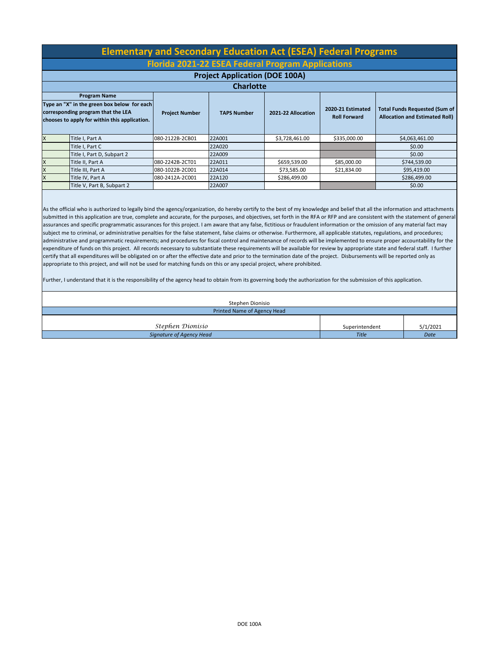|              | <b>Elementary and Secondary Education Act (ESEA) Federal Programs</b>                                                                                                        |                       |                    |                    |                                          |                                                                               |  |  |  |  |  |  |  |
|--------------|------------------------------------------------------------------------------------------------------------------------------------------------------------------------------|-----------------------|--------------------|--------------------|------------------------------------------|-------------------------------------------------------------------------------|--|--|--|--|--|--|--|
|              | <b>Florida 2021-22 ESEA Federal Program Applications</b>                                                                                                                     |                       |                    |                    |                                          |                                                                               |  |  |  |  |  |  |  |
|              | <b>Project Application (DOE 100A)</b>                                                                                                                                        |                       |                    |                    |                                          |                                                                               |  |  |  |  |  |  |  |
|              |                                                                                                                                                                              |                       | <b>Charlotte</b>   |                    |                                          |                                                                               |  |  |  |  |  |  |  |
|              | <b>Program Name</b>                                                                                                                                                          |                       |                    |                    |                                          |                                                                               |  |  |  |  |  |  |  |
|              | Type an "X" in the green box below for each<br>corresponding program that the LEA<br>chooses to apply for within this application.                                           | <b>Project Number</b> | <b>TAPS Number</b> | 2021-22 Allocation | 2020-21 Estimated<br><b>Roll Forward</b> | <b>Total Funds Requested (Sum of</b><br><b>Allocation and Estimated Roll)</b> |  |  |  |  |  |  |  |
| X            | Title I, Part A                                                                                                                                                              | 080-2122B-2CB01       | 22A001             | \$3,728,461.00     | \$335,000.00                             | \$4,063,461.00                                                                |  |  |  |  |  |  |  |
|              | Title I, Part C                                                                                                                                                              |                       | 22A020             |                    |                                          | \$0.00                                                                        |  |  |  |  |  |  |  |
|              | Title I, Part D, Subpart 2                                                                                                                                                   |                       | 22A009             |                    |                                          | \$0.00                                                                        |  |  |  |  |  |  |  |
| X            | Title II, Part A                                                                                                                                                             | 080-2242B-2CT01       | 22A011             | \$659,539.00       | \$85,000.00                              | \$744,539.00                                                                  |  |  |  |  |  |  |  |
| X            | Title III, Part A                                                                                                                                                            | 080-1022B-2C001       | 22A014             | \$73,585.00        | \$21,834.00                              | \$95,419.00                                                                   |  |  |  |  |  |  |  |
| $\mathsf{x}$ | Title IV, Part A                                                                                                                                                             | 080-2412A-2C001       | 22A120             | \$286,499.00       |                                          | \$286,499.00                                                                  |  |  |  |  |  |  |  |
|              | Title V, Part B, Subpart 2                                                                                                                                                   |                       | 22A007             |                    |                                          | \$0.00                                                                        |  |  |  |  |  |  |  |
|              | As the official who is authorized to legally bind the agency/organization, do hereby certify to the best of my knowledge and belief that all the information and attachments |                       |                    |                    |                                          |                                                                               |  |  |  |  |  |  |  |

submitted in this application are true, complete and accurate, for the purposes, and objectives, set forth in the RFA or RFP and are consistent with the statement of general assurances and specific programmatic assurances for this project. I am aware that any false, fictitious or fraudulent information or the omission of any material fact may subject me to criminal, or administrative penalties for the false statement, false claims or otherwise. Furthermore, all applicable statutes, regulations, and procedures; administrative and programmatic requirements; and procedures for fiscal control and maintenance of records will be implemented to ensure proper accountability for the expenditure of funds on this project. All records necessary to substantiate these requirements will be available for review by appropriate state and federal staff. I further certify that all expenditures will be obligated on or after the effective date and prior to the termination date of the project. Disbursements will be reported only as appropriate to this project, and will not be used for matching funds on this or any special project, where prohibited.

Further, I understand that it is the responsibility of the agency head to obtain from its governing body the authorization for the submission of this application.

| Stephen Dionisio            |                |          |  |  |  |  |  |
|-----------------------------|----------------|----------|--|--|--|--|--|
| Printed Name of Agency Head |                |          |  |  |  |  |  |
| Stephen Dionisio            | Superintendent | 5/1/2021 |  |  |  |  |  |
| Signature of Agency Head    | <b>Title</b>   | Date     |  |  |  |  |  |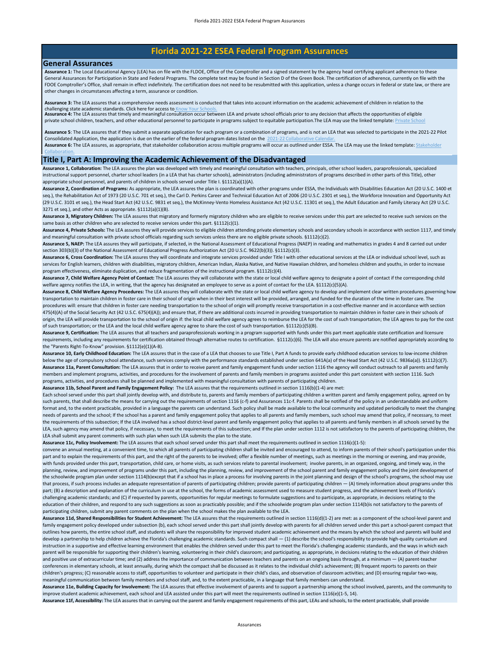## **Florida 2021-22 ESEA Federal Program Assurances**

### **General Assurances**

[Collaboration.](https://edudata.fldoe.org/)

Assurance 1: The Local Educational Agency (LEA) has on file with the FLDOE, Office of the Comptroller and a signed statement by the agency head certifying applicant adherence to these General Assurances for Participation in State and Federal Programs. The complete text may be found in Section D of the Green Book. The certification of adherence, currently on file with the [FDOE Comptroller's Office, shall remain in effect indefinitely. The certification does not need to be resubmitted with this application, unless a change occurs in federal or state law, or there are](https://www.floridacims.org/downloads?category=common-federal-guidance)  other changes in circumstances affecting a term, assurance or condition.

**Assurance 3:** [The LEA assures that a comprehensive needs assessment is conducted that takes into account information on the academic achievement of children in relation to the](https://edudata.fldoe.org/)  challenging state academic standards. Click here for access to <u>Know Your Schools.</u><br>**Assurance 4:** The LEA assures that timely and meaningful consultation occur between LEA and private school officials prior to any decisio

private school children, teachers, and other educational personnel to participate in programs subject to equitable participation. The LEA may use the linked template: Private

Assurance 6: [The LEA assures, as appropriate, that stakeholder collaboration across multiple programs will occur as outlined under ESSA. The](https://www.floridacims.org/downloads?category=k12-esea-federal-programs) LEA may use the linked template: Stakeholder **Assurance 5**[: The LEA assures that if they submit a separate application for each program or a combination of programs, and is not an LEA](https://www.floridacims.org/downloads?category=common-federal-guidance) that was selected to participate in the 2021-22 Pilot Consolidated Application, the application is due on the earlier of the federal program dates listed on the 2021-22 Collaborative

### **Title I, Part A: Improving the Academic Achievement of the Disadvantaged**

**Assurance 1, Collaboration:** The LEA assures the plan was developed with timely and meaningful consultation with teachers, principals, other school leaders, paraprofessionals, specialized instructional support personnel, charter school leaders (in a LEA that has charter schools), administrators (including administrators of programs described in other parts of this Title), other appropriate school personnel, and parents of children in schools served under Title I. §1112(a)(1)(A).

**Assurance 2, Coordination of Programs:** As appropriate, the LEA assures the plan is coordinated with other programs under ESSA, the Individuals with Disabilities Education Act (20 U.S.C. 1400 et seq.), the Rehabilitation Act of 1973 (20 U.S.C. 701 et seq.), the Carl D. Perkins Career and Technical Education Act of 2006 (20 U.S.C. 2301 et seq.), the Workforce Innovation and Opportunity Act (29 U.S.C. 3101 et seq.), the Head Start Act (42 U.S.C. 9831 et seq.), the McKinney-Vento Homeless Assistance Act (42 U.S.C. 11301 et seq.), the Adult Education and Family Literacy Act (29 U.S.C. 3271 et seq.), and other Acts as appropriate. §1112(a)(1)(B).

**Assurance 3, Migratory Children:** The LEA assures that migratory and formerly migratory children who are eligible to receive services under this part are selected to receive such services on the same basis as other children who are selected to receive services under this part. §1112(c)(1).

**Assurance 4, Private Schools:** The LEA assures they will provide services to eligible children attending private elementary schools and secondary schools in accordance with section 1117, and timely and meaningful consultation with private school officials regarding such services unless there are no eligible private schools. §1112(c)(2).

**Assurance 5, NAEP:** The LEA assures they will participate, if selected, in the National Assessment of Educational Progress (NAEP) in reading and mathematics in grades 4 and 8 carried out under section 303(b)(3) of the National Assessment of Educational Progress Authorization Act (20 U.S.C. 9622(b)(3)). §1112(c)(3).

**Assurance 6, Cross Coordination:** The LEA assures they will coordinate and integrate services provided under Title I with other educational services at the LEA or individual school level, such as services for English learners, children with disabilities, migratory children, American Indian, Alaska Native, and Native Hawaiian children, and homeless children and youths, in order to increase program effectiveness, eliminate duplication, and reduce fragmentation of the instructional program. §1112(c)(4).

Assurance 7, Child Welfare Agency Point of Contact: The LEA assures they will collaborate with the state or local child welfare agency to designate a point of contact if the corresponding child welfare agency notifies the LEA, in writing, that the agency has designated an employee to serve as a point of contact for the LEA. §1112(c)(5)(A).

**Assurance 8, Child Welfare Agency Procedures:** The LEA assures they will collaborate with the state or local child welfare agency to develop and implement clear written procedures governing how transportation to maintain children in foster care in their school of origin when in their best interest will be provided, arranged, and funded for the duration of the time in foster care. The procedures will: ensure that children in foster care needing transportation to the school of origin will promptly receive transportation in a cost-effective manner and in accordance with section 475(4)(A) of the Social Security Act (42 U.S.C. 675(4)(A)); and ensure that, if there are additional costs incurred in providing transportation to maintain children in foster care in their schools of origin, the LEA will provide transportation to the school of origin if: the local child welfare agency agrees to reimburse the LEA for the cost of such transportation; the LEA agrees to pay for the cost of such transportation; or the LEA and the local child welfare agency agree to share the cost of such transportation. §1112(c)(5)(B).

**Assurance 9, Certification:** The LEA assures that all teachers and paraprofessionals working in a program supported with funds under this part meet applicable state certification and licensure requirements, including any requirements for certification obtained through alternative routes to certification. §1112(c)(6). The LEA will also ensure parents are notified appropriately according to the "Parents Right-To-Know" provision. §1112(e)(1)(A-B).

**Assurance 10, Early Childhood Education:** The LEA assures that in the case of a LEA that chooses to use Title I, Part A funds to provide early childhood education services to low-income children below the age of compulsory school attendance, such services comply with the performance standards established under section 641A(a) of the Head Start Act (42 U.S.C. 9836a(a)). §1112(c)(7). **Assurance 11a, Parent Consultation:** The LEA assures that in order to receive parent and family engagement funds under section 1116 the agency will conduct outreach to all parents and family members and implement programs, activities, and procedures for the involvement of parents and family members in programs assisted under this part consistent with section 1116. Such programs, activities, and procedures shall be planned and implemented with meaningful consultation with parents of participating children.

**Assurance 11b, School Parent and Family Engagement Policy:** The LEA assures that the requirements outlined in section 1116(b)(1-4) are met:

Each school served under this part shall jointly develop with, and distribute to, parents and family members of participating children a written parent and family engagement policy, agreed on by such parents, that shall describe the means for carrying out the requirements of section 1116 (c-f) and Assurances 11c-f. Parents shall be notified of the policy in an understandable and uniform format and, to the extent practicable, provided in a language the parents can understand. Such policy shall be made available to the local community and updated periodically to meet the changing needs of parents and the school; If the school has a parent and family engagement policy that applies to all parents and family members, such school may amend that policy, if necessary, to meet the requirements of this subsection; If the LEA involved has a school district-level parent and family engagement policy that applies to all parents and family members in all schools served by the LEA, such agency may amend that policy, if necessary, to meet the requirements of this subsection; and If the plan under section 1112 is not satisfactory to the parents of participating children, the LEA shall submit any parent comments with such plan when such LEA submits the plan to the state.

**Assurance 11c, Policy Involvement:** The LEA assures that each school served under this part shall meet the requirements outlined in section 1116(c)(1-5):

convene an annual meeting, at a convenient time, to which all parents of participating children shall be invited and encouraged to attend, to inform parents of their school's participation under this part and to explain the requirements of this part, and the right of the parents to be involved; offer a flexible number of meetings, such as meetings in the morning or evening, and may provide, with funds provided under this part, transportation, child care, or home visits, as such services relate to parental involvement; involve parents, in an organized, ongoing, and timely way, in the planning, review, and improvement of programs under this part, including the planning, review, and improvement of the school parent and family engagement policy and the joint development of the schoolwide program plan under section 1114(b)except that if a school has in place a process for involving parents in the joint planning and design of the school's programs, the school may use that process, if such process includes an adequate representation of parents of participating children; provide parents of participating children - (A) timely information about programs under this part; (B) a description and explanation of the curriculum in use at the school, the forms of academic assessment used to measure student progress, and the achievement levels of Florida's challenging academic standards; and (C) if requested by parents, opportunities for regular meetings to formulate suggestions and to participate, as appropriate, in decisions relating to the education of their children, and respond to any such suggestions as soon as practicably possible; and if the schoolwide program plan under section 1114(b)is not satisfactory to the parents of participating children, submit any parent comments on the plan when the school makes the plan available to the LEA.

**Assurance 11d, Shared Responsibilities for Student Achievement:** The LEA assures that the requirements outlined in section 1116(d)(1-2) are met: as a component of the school-level parent and family engagement policy developed under subsection (b), each school served under this part shall jointly develop with parents for all children served under this part a school-parent compact that outlines how parents, the entire school staff, and students will share the responsibility for improved student academic achievement and the means by which the school and parents will build and develop a partnership to help children achieve the Florida's challenging academic standards. Such compact shall  $-$  (1) describe the school's responsibility to provide high-quality curriculum and instruction in a supportive and effective learning environment that enables the children served under this part to meet the Florida's challenging academic standards, and the ways in which each parent will be responsible for supporting their children's learning, volunteering in their child's classroom; and participating, as appropriate, in decisions relating to the education of their children and positive use of extracurricular time; and (2) address the importance of communication between teachers and parents on an ongoing basis through, at a minimum - (A) parent-teacher conferences in elementary schools, at least annually, during which the compact shall be discussed as it relates to the individual child's achievement; (B) frequent reports to parents on their children's progress; (C) reasonable access to staff, opportunities to volunteer and participate in their child's class, and observation of classroom activities; and (D) ensuring regular two-way, meaningful communication between family members and school staff, and, to the extent practicable, in a language that family members can understand.

**Assurance 11e, Building Capacity for Involvement:** The LEA assures that effective involvement of parents and to support a partnership among the school involved, parents, and the community to improve student academic achievement, each school and LEA assisted under this part will meet the requirements outlined in section 1116(e)(1-5, 14).

**Assurance 11f, Accessibility:** The LEA assures that in carrying out the parent and family engagement requirements of this part, LEAs and schools, to the extent practicable, shall provide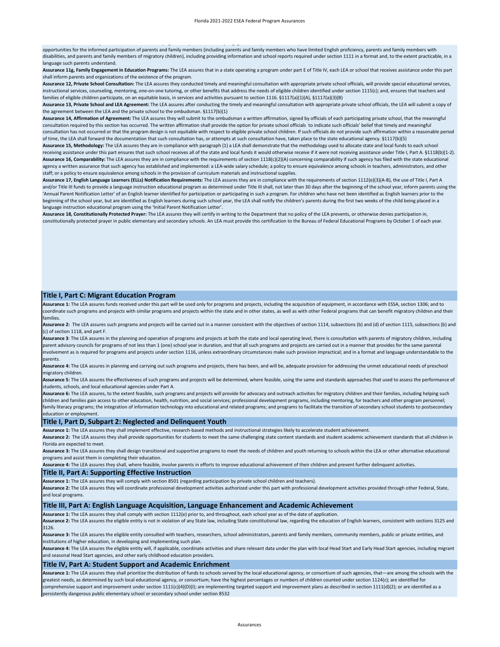**, y** y g p y g g q p , , p , p opportunities for the informed participation of parents and family members (including parents and family members who have limited English proficiency, parents and family members with disabilities, and parents and family members of migratory children), including providing information and school reports required under section 1111 in a format and, to the extent practicable, in a language such parents understand.

**Assurance 11g, Family Engagement in Education Programs:** The LEA assures that in a state operating a program under part E of Title IV, each LEA or school that receives assistance under this part shall inform parents and organizations of the existence of the program.

**Assurance 12, Private School Consultation:** The LEA assures they conducted timely and meaningful consultation with appropriate private school officials, will provide special educational services, instructional services, counseling, mentoring, one-on-one tutoring, or other benefits that address the needs of eligible children identified under section 1115(c); and, ensures that teachers and families of eligible children participate, on an equitable basis, in services and activities pursuant to section 1116. §1117(a)(1)(A), §1117(a)(3)(B)

**Assurance 13, Private School and LEA Agreement:** The LEA assures after conducting the timely and meaningful consultation with appropriate private school officials, the LEA will submit a copy of the agreement between the LEA and the private school to the ombudsman. §1117(b)(1)

**Assurance 14, Affirmation of Agreement:** The LEA assures they will submit to the ombudsman a written affirmation, signed by officials of each participating private school, that the meaningful consultation required by this section has occurred. The written affirmation shall provide the option for private school officials to indicate such officials' belief that timely and meaningful consultation has not occurred or that the program design is not equitable with respect to eligible private school children. If such officials do not provide such affirmation within a reasonable period of time, the LEA shall forward the documentation that such consultation has, or attempts at such consultation have, taken place to the state educational agency. §1117(b)(5)

**Assurance 15, Methodology:** The LEA assures they are in compliance with paragraph (1) a LEA shall demonstrate that the methodology used to allocate state and local funds to each school receiving assistance under this part ensures that such school receives all of the state and local funds it would otherwise receive if it were not receiving assistance under Title I, Part A. §1118(b)(1-2). **Assurance 16, Comparability:** The LEA assures they are in compliance with the requirements of section 1118(c)(2)(A) concerning comparability if such agency has filed with the state educational agency a written assurance that such agency has established and implemented: a LEA-wide salary schedule; a policy to ensure equivalence among schools in teachers, administrators, and other staff; or a policy to ensure equivalence among schools in the provision of curriculum materials and instructional supplies.

**Assurance 17, English Language Learners (ELLs) Notification Requirements:** The LEA assures they are in compliance with the requirements of section 1112(e)(3)(A-B), the use of Title I, Part A and/or Title III funds to provide a language instruction educational program as determined under Title III shall, not later than 30 days after the beginning of the school year, inform parents using the 'Annual Parent Notification Letter' of an English learner identified for participation or participating in such a program. For children who have not been identified as English learners prior to the beginning of the school year, but are identified as English learners during such school year, the LEA shall notify the children's parents during the first two weeks of the child being placed in a language instruction educational program using the 'Initial Parent Notification Letter'.

**Assurance 18, Constitutionally Protected Prayer:** The LEA assures they will certify in writing to the Department that no policy of the LEA prevents, or otherwise denies participation in, constitutionally protected prayer in public elementary and secondary schools. An LEA must provide this certification to the Bureau of Federal Educational Programs by October 1 of each year.

### **Title I, Part C: Migrant Education Program**

**Assurance 1:** The LEA assures funds received under this part will be used only for programs and projects, including the acquisition of equipment, in accordance with ESSA, section 1306; and to coordinate such programs and projects with similar programs and projects within the state and in other states, as well as with other Federal programs that can benefit migratory children and their families.

Assurance 2: The LEA assures such programs and projects will be carried out in a manner consistent with the objectives of section 1114, subsections (b) and (d) of section 1115, subsections (b) and (c) of section 1118, and part F.

Assurance 3: The LEA assures in the planning and operation of programs and projects at both the state and local operating level, there is consultation with parents of migratory children, including parent advisory councils for programs of not less than 1 (one) school year in duration, and that all such programs and projects are carried out in a manner that provides for the same parental involvement as is required for programs and projects under section 1116, unless extraordinary circumstances make such provision impractical; and in a format and language understandable to the parents.

**Assurance 4:** The LEA assures in planning and carrying out such programs and projects, there has been, and will be, adequate provision for addressing the unmet educational needs of preschool migratory children.

**Assurance 5:** The LEA assures the effectiveness of such programs and projects will be determined, where feasible, using the same and standards approaches that used to assess the performance of students, schools, and local educational agencies under Part A.

Assurance 6: The LEA assures, to the extent feasible, such programs and projects will provide for advocacy and outreach activities for migratory children and their families, including helping such children and families gain access to other education, health, nutrition, and social services; professional development programs, including mentoring, for teachers and other program personnel; family literacy programs; the integration of information technology into educational and related programs; and programs to facilitate the transition of secondary school students to postsecondary education or employment.

### **Title I, Part D, Subpart 2: Neglected and Delinquent Youth**

**Assurance 1:** The LEA assures they shall implement effective, research-based methods and instructional strategies likely to accelerate student achievement.

Assurance 2: The LEA assures they shall provide opportunities for students to meet the same challenging state content standards and student academic achievement standards that all children in Florida are expected to meet.

**Assurance 3:** The LEA assures they shall design transitional and supportive programs to meet the needs of children and youth returning to schools within the LEA or other alternative educational programs and assist them in completing their education.

**Assurance 4:** The LEA assures they shall, where feasible, involve parents in efforts to improve educational achievement of their children and prevent further delinquent activities.

#### **Title II, Part A: Supporting Effective Instruction**

**Assurance 1:** The LEA assures they will comply with section 8501 (regarding participation by private school children and teachers).

**Assurance 2:** The LEA assures they will coordinate professional development activities authorized under this part with professional development activities provided through other Federal, State, and local programs.

#### **Title III, Part A: English Language Acquisition, Language Enhancement and Academic Achievement**

**Assurance 1:** The LEA assures they shall comply with section 1112(e) prior to, and throughout, each school year as of the date of application.

**Assurance 2:** The LEA assures the eligible entity is not in violation of any State law, including State constitutional law, regarding the education of English learners, consistent with sections 3125 and 3126.

Assurance 3: The LEA assures the eligible entity consulted with teachers, researchers, school administrators, parents and family members, community members, public or private entities, and institutions of higher education, in developing and implementing such plan.

**Assurance 4:** The LEA assures the eligible entity will, if applicable, coordinate activities and share relevant data under the plan with local Head Start and Early Head Start agencies, including migrant and seasonal Head Start agencies, and other early childhood education providers.

### **Title IV, Part A: Student Support and Academic Enrichment**

**Assurance 1:** The LEA assures they shall prioritize the distribution of funds to schools served by the local educational agency, or consortium of such agencies, that—are among the schools with the greatest needs, as determined by such local educational agency, or consortium; have the highest percentages or numbers of children counted under section 1124(c); are identified for comprehensive support and improvement under section 1111(c)(4)(D)(I); are implementing targeted support and improvement plans as described in section 1111(d)(2); or are identified as a persistently dangerous public elementary school or secondary school under section 8532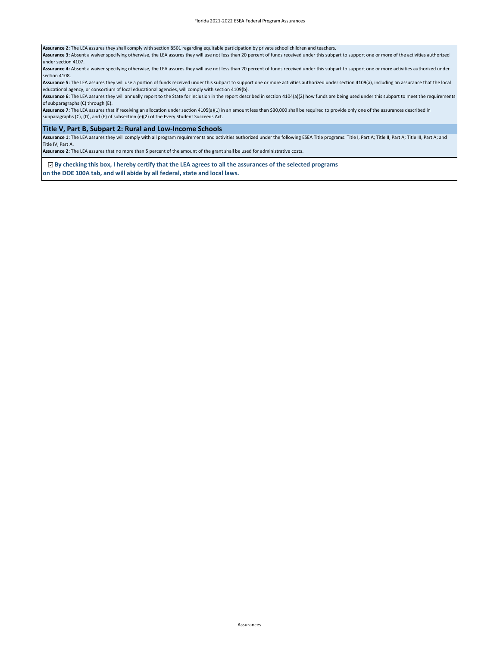**Assurance 2:** The LEA assures they shall comply with section 8501 regarding equitable participation by private school children and teachers.

**Assurance 3:** Absent a waiver specifying otherwise, the LEA assures they will use not less than 20 percent of funds received under this subpart to support one or more of the activities authorized under section 4107.

Assurance 4: Absent a waiver specifying otherwise, the LEA assures they will use not less than 20 percent of funds received under this subpart to support one or more activities authorized under section 4108.

**Assurance 5:** The LEA assures they will use a portion of funds received under this subpart to support one or more activities authorized under section 4109(a), including an assurance that the local educational agency, or consortium of local educational agencies, will comply with section 4109(b).

**Assurance 6:** The LEA assures they will annually report to the State for inclusion in the report described in section 4104(a)(2) how funds are being used under this subpart to meet the requirements of subparagraphs (C) through (E).

**Assurance 7:** The LEA assures that if receiving an allocation under section 4105(a)(1) in an amount less than \$30,000 shall be required to provide only one of the assurances described in subparagraphs (C), (D), and (E) of subsection (e)(2) of the Every Student Succeeds Act.

### **Title V, Part B, Subpart 2: Rural and Low-Income Schools**

Assurance 1: The LEA assures they will comply with all program requirements and activities authorized under the following ESEA Title programs: Title I, Part A; Title II, Part A; Title III, Part A; Title III, Part A; Title Title IV, Part A.

**Assurance 2:** The LEA assures that no more than 5 percent of the amount of the grant shall be used for administrative costs.

 **By checking this box, I hereby certify that the LEA agrees to all the assurances of the selected programs on the DOE 100A tab, and will abide by all federal, state and local laws.**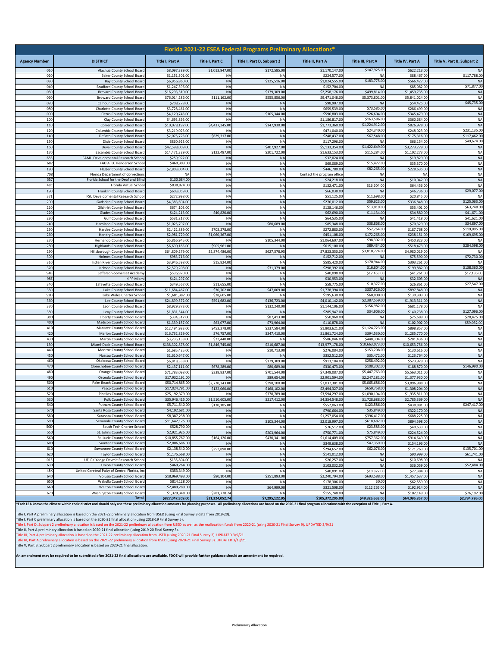| Florida 2021-22 ESEA Federal Programs Preliminary Allocations* |                                                                          |                                    |                                |                                |                                          |                                  |                                  |                             |  |  |  |  |
|----------------------------------------------------------------|--------------------------------------------------------------------------|------------------------------------|--------------------------------|--------------------------------|------------------------------------------|----------------------------------|----------------------------------|-----------------------------|--|--|--|--|
| <b>Agency Number</b>                                           | <b>DISTRICT</b>                                                          | Title I, Part A                    | Title I, Part C                | Title I, Part D, Subpart 2     | Title II, Part A                         | Title III, Part A                | Title IV, Part A                 | Title V, Part B, Subpart 2  |  |  |  |  |
| 010                                                            | Alachua County School Board                                              | \$8,097,389.00                     | \$1,013,947.00                 | \$172,585.00                   | \$1,170,147.00                           | \$147,925.00                     | \$622,213.00                     |                             |  |  |  |  |
| 020<br>030                                                     | <b>Baker County School Board</b><br><b>Bay County School Board</b>       | \$1,151,301.00<br>\$6,956,860.00   | <b>NA</b><br><b>NA</b>         | N/<br>\$125,516.00             | \$224,577.00<br>\$1,024,555.00           | NΑ<br>\$183,775.00               | \$88,467.00<br>\$566,427.00      | \$117,788.00<br>N           |  |  |  |  |
| 040                                                            | <b>Bradford County School Board</b>                                      | \$1,247,396.00                     | <b>NA</b>                      | N                              | \$152,704.00                             | <b>NA</b>                        | \$85,082.00                      | \$71,877.00                 |  |  |  |  |
| 050                                                            | Brevard County School Boar                                               | \$16,293,510.00                    | <b>NA</b>                      | \$179,309.00                   | \$2,258,176.0                            | \$499,814.00                     | \$1,459,735.00                   | NA                          |  |  |  |  |
| 060<br>070                                                     | Broward County School Board<br>Calhoun County School Board               | \$76,014,286.00<br>\$708,278.00    | \$111,162.00<br><b>NA</b>      | \$555,856.00<br><b>NA</b>      | \$9,471,048.00<br>\$98,907.00            | \$5,373,801.00<br><b>NA</b>      | \$5,841,024.00<br>\$54,425.00    | NA<br>\$45,735.00           |  |  |  |  |
| 080                                                            | Charlotte County School Board                                            | \$3,728,461.00                     | <b>NA</b>                      | <b>NA</b>                      | \$659,539.0                              | \$73,585.00                      | \$286,499.00                     | NA                          |  |  |  |  |
| 090                                                            | Citrus County School Board                                               | \$4,120,743.00                     | <b>NA</b>                      | \$105,344.00                   | \$596,803.00                             | \$26,604.00                      | \$345,479.00                     | <b>NA</b>                   |  |  |  |  |
| 100                                                            | Clay County School Board                                                 | \$4,693,895.00                     | <b>NA</b>                      | N                              | \$1,186,817.00                           | \$163,586.00                     | \$360,684.00                     | NA                          |  |  |  |  |
| 110<br>120                                                     | <b>Collier County School Board</b><br>Columbia County School Board       | \$10,078,197.00<br>\$3,219,023,00  | \$4,437,245.00<br><b>NA</b>    | \$147,930.00<br><b>NA</b>      | \$1,773,360.00<br>\$471,040.00           | \$1,224,912.00<br>\$24,340.00    | \$826,978.00<br>\$248,023.00     | <b>NA</b><br>\$231,135.00   |  |  |  |  |
| 140                                                            | DeSoto County School Board                                               | \$2,075,723.00                     | \$629,317.00                   | <b>NA</b>                      | \$248,437.00                             | \$67,548.00                      | \$175,316.00                     | \$117,462.00                |  |  |  |  |
| 150                                                            | Dixie County School Board                                                | \$860,923.00                       | <b>NA</b>                      | NA                             | \$117,296.00                             | <b>NA</b>                        | \$66,154.00                      | \$49,674.00                 |  |  |  |  |
| 160<br>170                                                     | Duval County School Board<br>Escambia County School Board                | \$42,598,009.00<br>\$14.471.329.00 | <b>NA</b><br>\$122,487.00      | \$407,927.00<br>\$201,722.00   | \$5,133,354.00<br>\$1,633,153.0          | \$1,422,649.00<br>\$115,284.00   | \$3,273,279.00<br>\$1,102,273.00 | <b>NA</b><br><b>NA</b>      |  |  |  |  |
| 685                                                            | <b>FAMU Developmental Research Schoo</b>                                 | \$259,922.00                       | <b>NA</b>                      | <b>NA</b>                      | \$32,024.00                              | N/                               | \$19,829.00                      | <b>NA</b>                   |  |  |  |  |
| 687                                                            | FAU A. D. Henderson Schoo                                                | \$460,303.00                       | NA                             | NA                             | \$69,089.00                              | \$15,472.00                      | \$35,370.00                      | <b>NA</b>                   |  |  |  |  |
| 180                                                            | Flagler County School Board                                              | \$2,803,004.00                     | <b>NA</b>                      | <b>NA</b>                      | \$446,780.00                             | \$82,265.00                      | \$228,635.00                     | <b>NA</b>                   |  |  |  |  |
| 708<br>557                                                     | Florida Department of Correction<br>Florida School for the Deaf and Blin | N<br>\$130,684.00                  | <b>NA</b><br><b>NA</b>         | <b>NA</b><br><b>NA</b>         | Contact the program offic<br>\$24,218.00 | <b>NA</b><br><b>NA</b>           | NA<br>\$10,042.00                | <b>NA</b><br><b>NA</b>      |  |  |  |  |
| 48C                                                            | Florida Virtual Schoo                                                    | \$838,824.00                       | <b>NA</b>                      | NA                             | \$132,471.00                             | \$16,604.00                      | \$64,456.00                      | NA                          |  |  |  |  |
| 190                                                            | Franklin County School Board                                             | \$603,059.00                       | <b>NA</b>                      | <b>NA</b>                      | \$66,038.00                              | <b>NA</b>                        | \$46,736.00                      | \$29,077.00                 |  |  |  |  |
| 371                                                            | FSU Developmental Research Schoo                                         | \$272,998.00                       | <b>NA</b>                      | <b>NA</b>                      | \$51,125.00                              | \$11,698.00                      | \$20,845.00                      | NA                          |  |  |  |  |
| 200<br>210                                                     | Gadsden County School Board<br>Gilchrist County School Board             | \$4,383,694.00<br>\$674,103.00     | <b>NA</b><br><b>NA</b>         | <b>NA</b><br>NA                | \$276,012.00<br>\$128,146.00             | \$59,623.00<br>\$13,019.00       | \$336,848.00<br>\$53,401.00      | \$125,063.00<br>\$63,748.00 |  |  |  |  |
| 220                                                            | Glades County School Board                                               | \$424,213.00                       | \$40,820.00                    | <b>NA</b>                      | \$62,690.00                              | \$11,134.00                      | \$34,880.00                      | \$41,671.00                 |  |  |  |  |
| 230                                                            | Gulf County School Board                                                 | \$531,217.00                       | <b>NA</b>                      | <b>NA</b>                      | \$64,535.00                              | <b>NA</b>                        | \$41,418.00                      | \$41,621.0                  |  |  |  |  |
| 240                                                            | Hamilton County School Boar                                              | \$1,025,797.00                     | <b>NA</b>                      | \$80,689.00                    | \$85,348.00                              | \$38,868.00                      | \$70,329.00                      | \$34,897.0                  |  |  |  |  |
| 250<br>260                                                     | Hardee County School Board<br><b>Hendry County School Board</b>          | \$2,422,889.00<br>\$2,981,729.00   | \$708,278.00<br>\$1,060,367.00 | NA<br><b>NA</b>                | \$272,880.00<br>\$451,108.00             | \$52,264.00<br>\$172,265.00      | \$187,768.00<br>\$238,151.00     | \$119,895.0<br>\$169,695.00 |  |  |  |  |
| 270                                                            | Hernando County School Board                                             | \$5,866,945.00                     | <b>NA</b>                      | \$105,344.00                   | \$1,064,607.00                           | \$98,302.00                      | \$450,823.00                     | NA                          |  |  |  |  |
| 280                                                            | <b>Highlands County School Board</b>                                     | \$6,690,185,00                     | \$905,961.00                   | <b>NA</b>                      | \$615,100.0                              | \$89,434.00                      | \$518,473.00                     | \$284,598.00                |  |  |  |  |
| 290<br>300                                                     | Hillsborough County School Board<br><b>Holmes County School Board</b>    | \$64,809,279.00<br>\$983,716.00    | \$2,874,486.00<br><b>NA</b>    | \$627,578.9<br>N               | \$7,823,350.00<br>\$152,712.00           | \$3,810,774.00<br><b>NA</b>      | \$4,980,019.00<br>\$75,590.00    | \$72,730.00                 |  |  |  |  |
| 310                                                            | Indian River County School Board                                         | \$3,946,598.00                     | \$15,824.00                    | NA                             | \$585,420.00                             | \$170,944.00                     | \$303,261.00                     | N                           |  |  |  |  |
| 320                                                            | Jackson County School Board                                              | \$2,579,208.00                     | <b>NA</b>                      | \$31,379.00                    | \$298,392.00                             | \$16,604.00                      | \$199,882.00                     | \$138,360.00                |  |  |  |  |
| 94B                                                            | Jefferson-Somerset Academ                                                | \$536,970.00                       | <b>NA</b>                      | NA                             | \$40,098.00                              | \$12,453.00                      | \$41,261.00                      | \$17,135.0                  |  |  |  |  |
| 98Z<br>340                                                     | <b>KIPP Miam</b><br>Lafayette County School Board                        | \$424,297.00<br>\$349,567.00       | <b>NA</b><br>\$11,655.00       | <b>NA</b><br><b>NA</b>         | \$30,953.00<br>\$58,775.00               | <b>NA</b><br>\$10,377.00         | \$32,603.00<br>\$26,861.00       | N/<br>\$27,547.00           |  |  |  |  |
| 350                                                            | Lake County School Board                                                 | \$11,684,467.00                    | \$30,702.00                    | \$47,069.00                    | \$1,778,394.00                           | \$307,926.00                     | \$897,848.00                     | <b>NA</b>                   |  |  |  |  |
| 53D                                                            | Lake Wales Charter Schoo                                                 | \$1,681,382.00                     | \$28,605.00                    | N                              | \$195,630.00                             | \$60,000.00                      | \$130,303.00                     | <b>NA</b>                   |  |  |  |  |
| 360<br>370                                                     | Lee County School Board                                                  | \$24,899,572.00                    | \$591,682.00                   | \$136,723.00                   | \$4,010,142.00                           | \$2,387,559.00<br>\$156,982.00   | \$1,913,311.00                   | <b>NA</b><br><b>NA</b>      |  |  |  |  |
| 380                                                            | Leon County School Board<br>Levy County School Boar                      | \$8,929,873.00<br>\$1,831,544.00   | <b>NA</b><br><b>NA</b>         | \$132,240.00<br>N <sub>f</sub> | \$1,144,106.00<br>\$285,947.00           | \$34,906.00                      | \$681,178.00<br>\$140,738.00     | \$127,096.00                |  |  |  |  |
| 390                                                            | Liberty County School Boar                                               | \$334,317.00                       | <b>NA</b>                      | \$87,413.00                    | \$50,960.00                              | NA                               | \$25,689.00                      | \$28,425.0                  |  |  |  |  |
| 400                                                            | Madison County School Boar                                               | \$1,339,157.00                     | \$63,077.00                    | \$73,964.00                    | \$110,878.00                             | <b>NA</b>                        | \$102,902.00                     | \$59,032.0                  |  |  |  |  |
| 410<br>420                                                     | Manatee County School Board<br>Marion County School Boar                 | \$12,494,983.00<br>\$16,732,829.00 | \$453,278.00<br>\$76,757.00    | \$237,584.00<br>\$347,410.00   | \$1,803,621.00<br>\$1,861,724.00         | \$1,124,723.00<br>\$394,530.00   | \$898,857.00<br>\$1,285,770.00   | NA<br><b>NA</b>             |  |  |  |  |
| 430                                                            | Martin County School Boar                                                | \$3,235,138.00                     | \$22,440.00                    | N/                             | \$586,046.0                              | \$448,304.00                     | \$281,436.00                     | <b>NA</b>                   |  |  |  |  |
| 130                                                            | Miami-Dade County School Board                                           | \$138,302,878.00                   | \$1,846,745.00                 | \$210,687.00                   | \$13,977,178.00                          | \$10,663,073.0                   | \$10,653,756.00                  | <b>NA</b>                   |  |  |  |  |
| 440                                                            | Monroe County School Board                                               | \$1,685,425.00                     | <b>NA</b>                      | \$10,713.00                    | \$276,084.00                             | \$153,208.00                     | \$130,616.00                     | <b>NA</b>                   |  |  |  |  |
| 450<br>460                                                     | Nassau County School Boar<br>Okaloosa County School Boar                 | \$1,610,647.00<br>\$6,818,338.00   | <b>NA</b><br><b>NA</b>         | N <sub>f</sub><br>\$179,309.00 | \$352,512.00<br>\$913,184.00             | \$35,472.00<br>\$258,492.00      | \$123,764.00<br>\$523,929.00     | <b>NA</b><br>NA             |  |  |  |  |
| 470                                                            | Okeechobee County School Boar                                            | \$2,437,111.00                     | \$678,289.00                   | \$80,689.00                    | \$330,473.0                              | \$108,302.00                     | \$188,870.00                     | \$146,990.00                |  |  |  |  |
| 480                                                            | Orange County School Board                                               | \$71,783,098.00                    | \$338,837.00                   | \$701,544.00                   | \$7,349,087.00                           | \$5,447,763.00                   | \$5,563,011.00                   | NA                          |  |  |  |  |
| 490<br>500                                                     | Osceola County School Board<br>Palm Beach County School Boar             | \$17,932,191.00<br>\$50,714,865.00 | <b>NA</b><br>\$2,720,343.00    | \$89,654.00<br>\$298,100.00    | \$2,901,594.00<br>\$7,037,381.0          | \$2,247,181.00<br>\$5,065,686.00 | \$1,377,930.00<br>\$3,896,988.00 | <b>NA</b><br>NA             |  |  |  |  |
| 510                                                            | Pasco County School Boar                                                 | \$17,024,791.00                    | \$122,060.00                   | \$168,102.00                   | \$2,494,327.00                           | \$650,758.00                     | \$1,308,204.00                   | <b>NA</b>                   |  |  |  |  |
| 520                                                            | Pinellas County School Boar                                              | \$25,192,379.00                    | <b>NA</b>                      | \$378,789.00                   | \$3,594,297.00                           | \$1,090,194.00                   | \$1,935,811.00                   | <b>NA</b>                   |  |  |  |  |
| 530                                                            | Polk County School Board                                                 | \$35,946,415.00                    | \$1,510,605.00                 | \$217,412.00                   | \$4,354,548.00                           | \$1,728,688.00                   | \$2,785,369.00                   | <b>NA</b><br>\$247,417.00   |  |  |  |  |
| 540                                                            | Putnam County School Boar                                                | \$5,711,540.00<br>\$4,192,681.0    | \$130,185.00                   | <b>NA</b>                      | \$552,063.00<br>\$790,664.               | \$123,586.00<br>\$35,849.0       | \$438,881.00<br>\$322,170.       |                             |  |  |  |  |
| 580                                                            | Sarasota County School Board                                             | \$8,387,238.00                     | <b>NA</b>                      | <b>NA</b>                      | \$1,257,054.00                           | \$396,417.00                     | \$688,225.00                     | NA                          |  |  |  |  |
| 590                                                            | Seminole County School Board                                             | \$11,642,175.00                    | <b>NA</b>                      | \$105,344.00                   | \$2,018,997.00                           | \$618,682.00                     | \$894,598.00                     | <b>NA</b>                   |  |  |  |  |
| 50D<br>550                                                     | South Tech Charter Schoo<br>St. Johns County School Board                | \$528,790.00<br>\$2,921,925.00     | <b>NA</b><br><b>NA</b>         | <b>NA</b><br>\$203,964.00      | \$76,512.00<br>\$750,771.00              | \$23,585.00<br>\$75,849.00       | \$40,633.00<br>\$224,524.00      | NA<br><b>NA</b>             |  |  |  |  |
| 560                                                            | St. Lucie County School Board                                            | \$10,855,767.00                    | \$164,126.00                   | \$430,341.00                   | \$1,614,409.00                           | \$757,362.00                     | \$914,649.00                     | <b>NA</b>                   |  |  |  |  |
| 600                                                            | Sumter County School Board                                               | \$2,006,686,00                     | <b>NA</b>                      | <b>NA</b>                      | \$349,638.00                             | \$47,359.00                      | \$154,196.00                     | <b>NA</b>                   |  |  |  |  |
| 610                                                            | Suwannee County School Board                                             | \$2,138,540.00                     | \$252,890.00                   | <b>NA</b>                      | \$294,652.00                             | \$62,076.00                      | \$171,763.00                     | \$135,701.00                |  |  |  |  |
| 620<br>015                                                     | Taylor County School Boar<br>UF, PK Yonge Devm't Research Schoo          | \$1,175,568.00<br>\$135,804.00     | NA<br><b>NA</b>                | <b>NA</b><br><b>NA</b>         | \$141,012.00<br>\$26,257.00              | <b>NA</b><br><b>NA</b>           | \$90,999.00<br>\$10,698.00       | \$61,741.00<br>N            |  |  |  |  |
| 630                                                            | Union County School Board                                                | \$469,264.00                       | <b>NA</b>                      | <b>NA</b>                      | \$103,032.00                             | <b>NA</b>                        | \$36,059.00                      | \$52,484.00                 |  |  |  |  |
| 48K                                                            | United Cerebral Palsy of Central Florida, Inc                            | \$353,349.00                       | <b>NA</b>                      | NA                             | \$40,891.00                              | \$10,377.00                      | \$27,384.00                      | <b>NA</b>                   |  |  |  |  |
| 640                                                            | Volusia County School Board                                              | \$18,969,493.00                    | \$80,104.00                    | \$351,893.00                   | \$2,240,794.00                           | \$693,588.00                     | \$1,457,637.00                   | <b>NA</b>                   |  |  |  |  |
| 650<br>660                                                     | Wakulla County School Board<br>Walton County School Board                | \$814,128.00<br>\$2,489,289.00     | <b>NA</b><br><b>NA</b>         | N<br>\$64,999.00               | \$178,306.00<br>\$321,508.00             | \$0.00<br>\$112,265.00           | \$62,559.00<br>\$192,914.00      | NA<br><b>NA</b>             |  |  |  |  |
| 670                                                            | Washington County School Board                                           | \$1,329,348.00                     | \$281,778.74                   | <b>NA</b>                      | \$155,748.00                             | <b>NA</b>                        | \$102,149.00                     | \$76,192.00                 |  |  |  |  |
|                                                                | <b>Total</b>                                                             | \$827,047,509.00                   | \$21,324,052.74                | \$7,295,122.95                 | \$105,372,205.00                         | \$49,326,665.00                  | \$64,095,857.00                  | \$2,734,786.00              |  |  |  |  |

\*Each LEA knows the climate within their district and should only use these preliminary allocation amounts for planning purposes. All preliminary allocations are based on the 2020-21 final program allocations with the exce

Title I, Part A preliminary allocation is based on the 2021-22 preliminary allocation from USED (using Final Survey 3 data from 2019-20).<br>Title I, Part C preliminary allocation is based on the 2020-22 framel allocation (us

**An amendment may be required to be submitted after 2021-22 final allocations are available. FDOE will provide further guidance should an amendment be required.**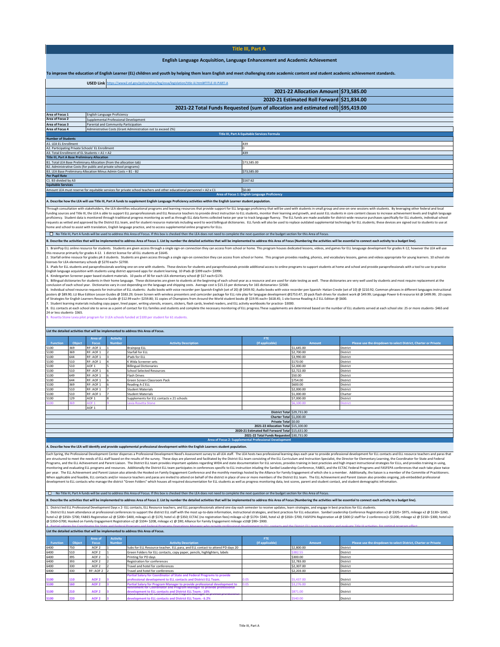#### **Title III, Part A**

#### **English Language Acquisition, Language Enhancement and Academic Achievement**

### <span id="page-8-0"></span>**To improve the education of English Learner (EL) children and youth by helping them learn English and meet challenging state academic content and student academic achievement standards.**

|                                                                                  | USED Link https://www2.ed.gov/policy/elsec/leg/essa/legislation/title-iii.html#TITLE-III-PART-A                                                                                                                               |                                               |  |  |  |  |  |  |  |  |
|----------------------------------------------------------------------------------|-------------------------------------------------------------------------------------------------------------------------------------------------------------------------------------------------------------------------------|-----------------------------------------------|--|--|--|--|--|--|--|--|
|                                                                                  |                                                                                                                                                                                                                               | 2021-22 Allocation Amount \$73,585.00         |  |  |  |  |  |  |  |  |
|                                                                                  | 2020-21 Estimated Roll Forward \$21,834.00                                                                                                                                                                                    |                                               |  |  |  |  |  |  |  |  |
| 2021-22 Total Funds Requested (sum of allocation and estimated roll) \$95,419.00 |                                                                                                                                                                                                                               |                                               |  |  |  |  |  |  |  |  |
| Area of Focus 1                                                                  | English Language Proficiency                                                                                                                                                                                                  |                                               |  |  |  |  |  |  |  |  |
| Area of Focus 2                                                                  | Supplemental Professional Development                                                                                                                                                                                         |                                               |  |  |  |  |  |  |  |  |
| Area of Focus 3                                                                  | Parental and Community Participation                                                                                                                                                                                          |                                               |  |  |  |  |  |  |  |  |
| Area of Focus 4                                                                  | Administrative Costs (Grant Administration not to exceed 2%)                                                                                                                                                                  |                                               |  |  |  |  |  |  |  |  |
|                                                                                  | Title III, Part A Equitable Services Formula                                                                                                                                                                                  |                                               |  |  |  |  |  |  |  |  |
| <b>Number of Students</b>                                                        |                                                                                                                                                                                                                               |                                               |  |  |  |  |  |  |  |  |
| A1. LEA EL Enrollment                                                            |                                                                                                                                                                                                                               | 439                                           |  |  |  |  |  |  |  |  |
| A2. Participating Private Schools' EL Enrollment                                 |                                                                                                                                                                                                                               |                                               |  |  |  |  |  |  |  |  |
| A3. Total Enrollment of EL Students = A1 + A2                                    |                                                                                                                                                                                                                               | 439                                           |  |  |  |  |  |  |  |  |
| <b>Title III, Part A Base Preliminary Allocation</b>                             |                                                                                                                                                                                                                               |                                               |  |  |  |  |  |  |  |  |
|                                                                                  | B1. Total LEA Base Preliminary Allocation (from the allocation tab)                                                                                                                                                           | \$73,585.00                                   |  |  |  |  |  |  |  |  |
|                                                                                  | B2. Administrative Costs (for public and private school programs)                                                                                                                                                             |                                               |  |  |  |  |  |  |  |  |
|                                                                                  | B3. LEA Base Preliminary Allocation Minus Admin Costs = B1 - B2                                                                                                                                                               | \$73,585.00                                   |  |  |  |  |  |  |  |  |
| <b>Per Pupil Rate</b>                                                            |                                                                                                                                                                                                                               |                                               |  |  |  |  |  |  |  |  |
| C1. B3 divided by A3                                                             |                                                                                                                                                                                                                               | \$167.62                                      |  |  |  |  |  |  |  |  |
| <b>Equitable Services</b>                                                        |                                                                                                                                                                                                                               |                                               |  |  |  |  |  |  |  |  |
|                                                                                  | Amount LEA must reserve for equitable services for private school teachers and other educational personnel = A2 x C1                                                                                                          | \$0.00                                        |  |  |  |  |  |  |  |  |
|                                                                                  |                                                                                                                                                                                                                               | Area of Focus 1: English Language Proficiency |  |  |  |  |  |  |  |  |
|                                                                                  | A. Provedby been the UPA collision This UL Prote A food an encodenced Problem and the common Profile and address and delay in the Profile London and considerable and address and address and address and address and address |                                               |  |  |  |  |  |  |  |  |

#### **A. Describe how the LEA will use Title III, Part A funds to supplement English Language Proficiency activities within the English Learner student population.**

Through consultation with stakeholders, the LEA identifies educational programs and learning resources that provide support for ELL language proficiency that will be used with students in small group and one-on-one sessions with students. By leveraging other federal and local funding sources and Title III, the LEA is able to support ELL paraprofessionals and ELL Resource teachers to provide direct instruction to ELL students, monitor their learning and growth, and assist ELL students in core content classes to increase achievement levels and English language proficiency. Student data is monitored through traditional progress monitoring as well as through ELL data forms collected twice per year to track language fluency. The ELL funds are made available for district-wide resource purchases specifically for ELL students, individual school requests as vetted and approved by the District ELL team, and for student resource materials including word to word billingual dictionaries. ELL funds will also be used to replace outdated supplemental technology for ELL students; these devices are signed out to students to use at home and school to assist with translation, English language practice, and to access supplemental online programs for ELLs.

□ No Title III, Part A funds will be used to address this Area of Focus. If this box is checked then the LEA does not need to complete the next question or the budget section for this Area of Focus.

B. Describe the activities that will be implemented to address Area of Focus 1. List by number the detailed activities that will be implemented to address this Area of Focus (Numbering the activities will be essential to c BrainPop ELL online resource for students. Students are given access through a single sign-on connection they can access from school or home. This program houses dedicated lessons, videos, and games for ELL lanaguage devel

this resource primarily for grades 4-12. Idistrict license for all ELL students at SI645.<br>2. Starfall online resource for grades pX-3 students. Students are given access through a single sign-on connection they can access

ileanse for LEA stemetrary schools @ \$2.290 each = \$2700.<br>Is a lPads for ELL students and paraprofessionals working one-on-one with students. These devices for students and paraprofessionals provide additional access to on

|          | List the detailed activities that will be implemented to address this Area of Focus. |                  |               |                                           |                                                  |               |                                                                |  |  |  |  |
|----------|--------------------------------------------------------------------------------------|------------------|---------------|-------------------------------------------|--------------------------------------------------|---------------|----------------------------------------------------------------|--|--|--|--|
|          |                                                                                      | Area of          | Activity      |                                           | <b>FTE</b>                                       |               |                                                                |  |  |  |  |
| Function | Object                                                                               | <b>Focus</b>     | <b>Number</b> | <b>Activity Description</b>               | (If applicable)                                  | <b>Amount</b> | Please use the dropdown to select District, Charter or Private |  |  |  |  |
| 5100     | 369                                                                                  | RF: AOF 1        |               | <b>Brainpop ELL</b>                       |                                                  | \$1,645.00    | <b>District</b>                                                |  |  |  |  |
| 5100     | 369                                                                                  | RF: AOF 1        |               | Starfall for ELL                          |                                                  | \$2,700.00    | District                                                       |  |  |  |  |
| 5100     | 644                                                                                  | RF: AOF 1        |               | iPads for ELL                             |                                                  | \$3,990.00    | District                                                       |  |  |  |  |
| 5100     | 510                                                                                  | RF: AOF 1        |               | K Wida Screener sets                      |                                                  | \$170.00      | District                                                       |  |  |  |  |
| 5100     | 510                                                                                  | AOF <sub>1</sub> |               | <b>Billingual Dictionaries</b>            |                                                  | \$2,000.00    | District                                                       |  |  |  |  |
| 5100     | 510                                                                                  | RF: AOF 1        |               | <b>School Selected Resources</b>          |                                                  | \$2,722.00    | District                                                       |  |  |  |  |
| 5100     | 649                                                                                  | RF: AOF 1        |               | Flash Drives                              |                                                  | \$50.00       | <b>District</b>                                                |  |  |  |  |
| 5100     | 644                                                                                  | RF: AOF 1        |               | Green Screen Classroom Pack               |                                                  | \$754.00      | <b>District</b>                                                |  |  |  |  |
| 5100     | 369                                                                                  | RF: AOF 1        |               | Reading A-Z ELL                           |                                                  | \$600.00      | <b>District</b>                                                |  |  |  |  |
| 5100     | 510                                                                                  | RF: AOF 1        |               | <b>Student Materials</b>                  |                                                  | \$2,000.00    | District                                                       |  |  |  |  |
| 5100     | 510                                                                                  | RF: AOF 1        |               | <b>Student Materials</b>                  |                                                  | \$1,000.00    | Charter                                                        |  |  |  |  |
| 5100     | 129                                                                                  | AOF <sub>1</sub> |               | Supplements for ELL contacts x 21 schools |                                                  | \$7,000.00    | District                                                       |  |  |  |  |
| 5100     | 369                                                                                  | AOF <sub>1</sub> |               | Lexia Rosetta Stone                       |                                                  | \$6,100.00    | <b>District</b>                                                |  |  |  |  |
|          |                                                                                      | AOF <sub>1</sub> |               |                                           |                                                  |               |                                                                |  |  |  |  |
|          |                                                                                      |                  |               |                                           | District Total \$29,731.00                       |               |                                                                |  |  |  |  |
|          |                                                                                      |                  |               |                                           | Charter Total \$1,000.00                         |               |                                                                |  |  |  |  |
|          |                                                                                      |                  |               |                                           | Private Total \$0.00                             |               |                                                                |  |  |  |  |
|          |                                                                                      |                  |               |                                           | 2021-22 Allocation Total \$15,100.00             |               |                                                                |  |  |  |  |
|          |                                                                                      |                  |               |                                           | 2020-21 Estimated Roll Forward Total \$15,631.00 |               |                                                                |  |  |  |  |
|          |                                                                                      |                  |               |                                           | 2021-22 Total Funds Requested \$30,731.00        |               |                                                                |  |  |  |  |

**A. Describe how the LEA will identify and provide supplemental professional development within the English Learners student population.** 

Each Spring, the Professional Development Center disperses a Professional Development NeedYa Seasment survey to all LeS atsif. The LEA hosts two professional development for EL serves on persuas that increases a propositio When applicable and formats and/or resource teachers and paras are invited to attend on behalf of the district in place of one or more members of the District Lite ann. The ELI Anievement and Parental and Parental on the U

**Area of Focus 2: Supplemental Professional Development** 

#### ■ No Title III, Part A funds will be used to address this Area of Focus. If this box is checked then the LEA does not need to complete the next question or the budget section for this Area of Focus.

ribe the activities that will be implemented to address Area of Focus 2. List by number the detailed activities that will be implemented to address this Area of Focus (Numbering the activities will be essential to connect

3. Partial salaries for Coordinator for State and Federal Programs and Federal Programs Operations Manager who provide professional development to FH contacts and the District FH team to monitor and evaluate Title III acti

.1. District defilt Professional Development Days x 2 EL contacts, ELL Resource teachers, and ELL paraprofessionals attend one day each semester to receive updates, learn strategies, and best practices for ELL education. hotel x2 @ \$350- \$700; FABES Registration x2 @ \$200= \$400, milleage x1 @ \$300; Buylea the Gegater and milleage x2 @ \$170= \$300; FASEPA Registration x4 @ \$300 (2 staff for 2 conferences)= \$1200, mileage x2 @ \$150= \$300, ho

#### **List the detailed activities that will be implemented to address this Area of Focus.**

|                 |               | Area of          | Activity      |                                                                                                             | <b>FTF</b>      |            |                                                                |
|-----------------|---------------|------------------|---------------|-------------------------------------------------------------------------------------------------------------|-----------------|------------|----------------------------------------------------------------|
| <b>Function</b> | <b>Object</b> | <b>Focus</b>     | <b>Number</b> | <b>Activity Description</b>                                                                                 | (If applicable) | Amount     | Please use the dropdown to select District, Charter or Private |
| 6400            | 750           | AOF <sub>2</sub> |               | Subs for ELL Resource teacher, ELL para, and ELL contact to attend PD days 20                               |                 | \$2,800.00 | <b>District</b>                                                |
| 6400            | 510           | AOF <sub>2</sub> |               | Green Folders for ELL contacts, copy paper, pencils, highlighters, labels                                   |                 | \$382.55   | <b>District</b>                                                |
| 6400            | 395           | AOF <sub>2</sub> |               | Printing for PD days                                                                                        |                 | \$300.00   | <b>District</b>                                                |
| 6400            | 393           | AOF <sub>2</sub> |               | Registration for conferences                                                                                |                 | \$2,783.00 | <b>District</b>                                                |
| 6400            | 330           | AOF <sub>2</sub> |               | Travel and hotel for conferences                                                                            |                 | \$2,307.00 | <b>District</b>                                                |
| 6400            | 330           | RF: AOF 2        |               | Travel and hotel for conferences                                                                            |                 | \$2,203,00 | District                                                       |
|                 |               |                  |               | Partial Salary for Coordinator of State and Federal Programs to provide                                     |                 |            |                                                                |
| 5100            |               | AOF <sub>2</sub> |               | professional development to ELL contacts and District ELL Team.                                             |                 | \$5,437.00 | <b>District</b>                                                |
| 15100           |               | AOF <sub>2</sub> |               | Partial Salary for Program Manager to provide professional development to                                   |                 | \$3,276.00 | <b>District</b>                                                |
|                 |               |                  |               | Retirement for Coordinator and Program Manager to provide professional                                      |                 |            |                                                                |
| 5100            | 210           | AOF <sub>2</sub> |               | development to ELL contacts and District ELL Team.- 10%<br>auga Jeguny na gwa angwr ang rhysiam wangso tu i |                 | \$871.00   | <b>District</b>                                                |
| 5100            |               | AOF <sub>2</sub> |               | development to ELL contacts and District ELL Team. - 6.2%                                                   |                 | \$540.00   | District                                                       |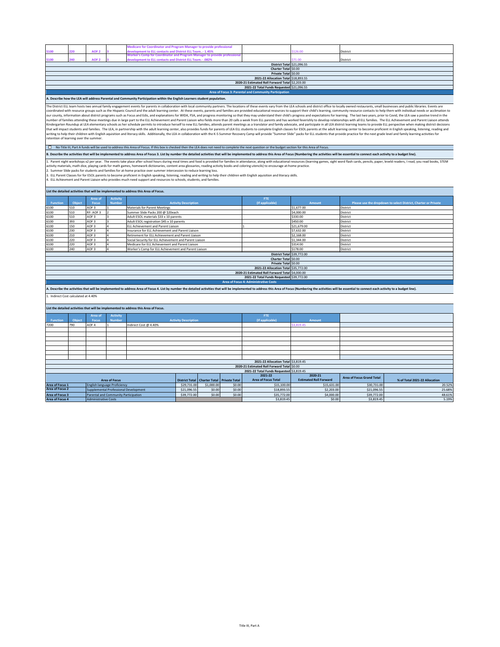|                                           |                                                                                                                                                                                                                                                                                                                                                                                                                                                                                                                                                                                                                                                                                                                                                                                                                                                                                                                                                                                                                                                                                                                                                                                                                                                                                                                                                                                                                                                                                                                                                                                                                                                                                                                                                                                                                                                                                             |                                      |                                       | <b>Aedicare for Coordinator and Program Manager to provide professional</b>                                                                                                                                                    |                             |                              |                      |                                                       |                                          |                                  |                                                                |  |  |
|-------------------------------------------|---------------------------------------------------------------------------------------------------------------------------------------------------------------------------------------------------------------------------------------------------------------------------------------------------------------------------------------------------------------------------------------------------------------------------------------------------------------------------------------------------------------------------------------------------------------------------------------------------------------------------------------------------------------------------------------------------------------------------------------------------------------------------------------------------------------------------------------------------------------------------------------------------------------------------------------------------------------------------------------------------------------------------------------------------------------------------------------------------------------------------------------------------------------------------------------------------------------------------------------------------------------------------------------------------------------------------------------------------------------------------------------------------------------------------------------------------------------------------------------------------------------------------------------------------------------------------------------------------------------------------------------------------------------------------------------------------------------------------------------------------------------------------------------------------------------------------------------------------------------------------------------------|--------------------------------------|---------------------------------------|--------------------------------------------------------------------------------------------------------------------------------------------------------------------------------------------------------------------------------|-----------------------------|------------------------------|----------------------|-------------------------------------------------------|------------------------------------------|----------------------------------|----------------------------------------------------------------|--|--|
| 100                                       | 20                                                                                                                                                                                                                                                                                                                                                                                                                                                                                                                                                                                                                                                                                                                                                                                                                                                                                                                                                                                                                                                                                                                                                                                                                                                                                                                                                                                                                                                                                                                                                                                                                                                                                                                                                                                                                                                                                          | AOF <sub>2</sub>                     |                                       | evelopment to ELL contacts and District ELL Team- 1.45%                                                                                                                                                                        |                             |                              |                      |                                                       | 126.00                                   | District                         |                                                                |  |  |
|                                           |                                                                                                                                                                                                                                                                                                                                                                                                                                                                                                                                                                                                                                                                                                                                                                                                                                                                                                                                                                                                                                                                                                                                                                                                                                                                                                                                                                                                                                                                                                                                                                                                                                                                                                                                                                                                                                                                                             |                                      |                                       | <b>Norker's Comp for Coordinator and Program Manager to provide professior</b>                                                                                                                                                 |                             |                              |                      |                                                       |                                          |                                  |                                                                |  |  |
| 5100                                      | 40                                                                                                                                                                                                                                                                                                                                                                                                                                                                                                                                                                                                                                                                                                                                                                                                                                                                                                                                                                                                                                                                                                                                                                                                                                                                                                                                                                                                                                                                                                                                                                                                                                                                                                                                                                                                                                                                                          | AOF <sub>2</sub>                     |                                       | levelopment to ELL contacts and District ELL Team.- .082%                                                                                                                                                                      |                             |                              |                      | <b>District Total \$21,096.55</b>                     | 71.00                                    | District                         |                                                                |  |  |
|                                           |                                                                                                                                                                                                                                                                                                                                                                                                                                                                                                                                                                                                                                                                                                                                                                                                                                                                                                                                                                                                                                                                                                                                                                                                                                                                                                                                                                                                                                                                                                                                                                                                                                                                                                                                                                                                                                                                                             |                                      |                                       |                                                                                                                                                                                                                                |                             |                              |                      | Charter Total \$0.00                                  |                                          |                                  |                                                                |  |  |
|                                           |                                                                                                                                                                                                                                                                                                                                                                                                                                                                                                                                                                                                                                                                                                                                                                                                                                                                                                                                                                                                                                                                                                                                                                                                                                                                                                                                                                                                                                                                                                                                                                                                                                                                                                                                                                                                                                                                                             |                                      |                                       |                                                                                                                                                                                                                                |                             |                              |                      | Private Total \$0.00                                  |                                          |                                  |                                                                |  |  |
|                                           |                                                                                                                                                                                                                                                                                                                                                                                                                                                                                                                                                                                                                                                                                                                                                                                                                                                                                                                                                                                                                                                                                                                                                                                                                                                                                                                                                                                                                                                                                                                                                                                                                                                                                                                                                                                                                                                                                             |                                      |                                       |                                                                                                                                                                                                                                |                             |                              |                      | 2021-22 Allocation Total \$18,893.55                  |                                          |                                  |                                                                |  |  |
|                                           |                                                                                                                                                                                                                                                                                                                                                                                                                                                                                                                                                                                                                                                                                                                                                                                                                                                                                                                                                                                                                                                                                                                                                                                                                                                                                                                                                                                                                                                                                                                                                                                                                                                                                                                                                                                                                                                                                             |                                      |                                       |                                                                                                                                                                                                                                |                             |                              |                      | 2020-21 Estimated Roll Forward Total \$2,203.00       |                                          |                                  |                                                                |  |  |
|                                           |                                                                                                                                                                                                                                                                                                                                                                                                                                                                                                                                                                                                                                                                                                                                                                                                                                                                                                                                                                                                                                                                                                                                                                                                                                                                                                                                                                                                                                                                                                                                                                                                                                                                                                                                                                                                                                                                                             |                                      |                                       |                                                                                                                                                                                                                                |                             |                              |                      | 2021-22 Total Funds Requested \$21,096.55             |                                          |                                  |                                                                |  |  |
|                                           |                                                                                                                                                                                                                                                                                                                                                                                                                                                                                                                                                                                                                                                                                                                                                                                                                                                                                                                                                                                                                                                                                                                                                                                                                                                                                                                                                                                                                                                                                                                                                                                                                                                                                                                                                                                                                                                                                             |                                      |                                       |                                                                                                                                                                                                                                |                             |                              |                      | Area of Focus 3: Parental and Community Participation |                                          |                                  |                                                                |  |  |
|                                           |                                                                                                                                                                                                                                                                                                                                                                                                                                                                                                                                                                                                                                                                                                                                                                                                                                                                                                                                                                                                                                                                                                                                                                                                                                                                                                                                                                                                                                                                                                                                                                                                                                                                                                                                                                                                                                                                                             |                                      |                                       | A. Describe how the LEA will address Parental and Community Participation within the English Learners student population.                                                                                                      |                             |                              |                      |                                                       |                                          |                                  |                                                                |  |  |
|                                           | The District ELL team hosts two annual family engagement events for parents in collaboration with local community partners. The locations of these events vary from the LEA schools and district office to locally owned resta<br>coordinated with resource groups such as the Hispanic Council and the adult learning center. At these events, parents and families are provided educational resources to support their child's learning, community resource co<br>our county, information about district programs such as Focus and Edis, and explanations for WIDA, FSA, and progress monitoring so that they may understand their child's progress and expectations for learning. The last two<br>number of families attending these meetings due in large part to the ELL Achievement and Parent Liaison who fields more than 20 calls a week from ELL parents and has worked feverishly to develop relationships with all ELL<br>Kindergarten Roundup at LEA elementary schools as her schedule permits to introduce herself to new ELL families, attends parent meetings as a translator and family advocate, and participate in all LEA district daring teams<br>that will impact students and families. The LEA, in partnership with the adult learning center, also provides funds for parents of LEA ELL students to complete English classes for ESOL parents at the adult learning center<br>writing to help their children with English aquisition and literacy skills. Additionally, the LEA in collaboration with the K-5 Summer Recovery Camp will provide "Summer Slide" packs for ELL students that provide practice<br>retention of learning over the summer.<br>□ No Title III, Part A funds will be used to address this Area of Focus. If this box is checked then the LEA does not need to complete the next question or the budget section for this Area of Focus. |                                      |                                       |                                                                                                                                                                                                                                |                             |                              |                      |                                                       |                                          |                                  |                                                                |  |  |
|                                           |                                                                                                                                                                                                                                                                                                                                                                                                                                                                                                                                                                                                                                                                                                                                                                                                                                                                                                                                                                                                                                                                                                                                                                                                                                                                                                                                                                                                                                                                                                                                                                                                                                                                                                                                                                                                                                                                                             |                                      |                                       |                                                                                                                                                                                                                                |                             |                              |                      |                                                       |                                          |                                  |                                                                |  |  |
|                                           |                                                                                                                                                                                                                                                                                                                                                                                                                                                                                                                                                                                                                                                                                                                                                                                                                                                                                                                                                                                                                                                                                                                                                                                                                                                                                                                                                                                                                                                                                                                                                                                                                                                                                                                                                                                                                                                                                             |                                      |                                       |                                                                                                                                                                                                                                |                             |                              |                      |                                                       |                                          |                                  |                                                                |  |  |
|                                           | B. Describe the activities that will be implemented to address Area of Focus 3. List by number the detailed activities that will be implemented to address this Area of Focus (Numbering the activities will be essential to c<br>1. Parent night workshops x2 per year. The events take place after school hours during meal times and food is provided for families in attendance, along with educational resources (learning games, sight word flash cards, p<br>activity materials, math dice, playing cards for math games, homework dictionaries, content area glossaries, reading activity books and coloring utencils) to encourage at-home practice.<br>2. Summer Slide packs for students and families for at-home practice over summer intercession to reduce learning loss.<br>3. ELL Parent Classes for for ESOL parents to become proficient in English speaking, listening, reading and writing to help their children with English aquisition and literacy skills.<br>4. ELL Achievment and Parent Liaison who provides much need support and resources to schools, students, and families.                                                                                                                                                                                                                                                                                                                                                                                                                                                                                                                                                                                                                                                                                                                                                                                 |                                      |                                       |                                                                                                                                                                                                                                |                             |                              |                      |                                                       |                                          |                                  |                                                                |  |  |
|                                           |                                                                                                                                                                                                                                                                                                                                                                                                                                                                                                                                                                                                                                                                                                                                                                                                                                                                                                                                                                                                                                                                                                                                                                                                                                                                                                                                                                                                                                                                                                                                                                                                                                                                                                                                                                                                                                                                                             |                                      |                                       | List the detailed activities that will be implemented to address this Area of Focus.                                                                                                                                           |                             |                              |                      |                                                       |                                          |                                  |                                                                |  |  |
|                                           |                                                                                                                                                                                                                                                                                                                                                                                                                                                                                                                                                                                                                                                                                                                                                                                                                                                                                                                                                                                                                                                                                                                                                                                                                                                                                                                                                                                                                                                                                                                                                                                                                                                                                                                                                                                                                                                                                             | Area of                              | <b>Activity</b>                       |                                                                                                                                                                                                                                |                             |                              |                      | FTE                                                   |                                          |                                  |                                                                |  |  |
| Functio                                   | Ohio                                                                                                                                                                                                                                                                                                                                                                                                                                                                                                                                                                                                                                                                                                                                                                                                                                                                                                                                                                                                                                                                                                                                                                                                                                                                                                                                                                                                                                                                                                                                                                                                                                                                                                                                                                                                                                                                                        | Focus                                |                                       |                                                                                                                                                                                                                                | <b>Activity Descript</b>    |                              |                      | (If applical                                          |                                          |                                  | Please use the dropdown to select District, Charter or Private |  |  |
| 6100                                      | 510                                                                                                                                                                                                                                                                                                                                                                                                                                                                                                                                                                                                                                                                                                                                                                                                                                                                                                                                                                                                                                                                                                                                                                                                                                                                                                                                                                                                                                                                                                                                                                                                                                                                                                                                                                                                                                                                                         | AOF <sub>3</sub>                     |                                       | <b>Materials for Parent Meetings</b>                                                                                                                                                                                           |                             |                              |                      |                                                       | \$1,677.00                               | District                         |                                                                |  |  |
| 6100                                      | 510                                                                                                                                                                                                                                                                                                                                                                                                                                                                                                                                                                                                                                                                                                                                                                                                                                                                                                                                                                                                                                                                                                                                                                                                                                                                                                                                                                                                                                                                                                                                                                                                                                                                                                                                                                                                                                                                                         | RF: AOF 3                            |                                       | Summer Slide Packs 200 @ \$20each                                                                                                                                                                                              |                             |                              |                      |                                                       | \$4,000.00                               | District                         |                                                                |  |  |
| 6100                                      | 510                                                                                                                                                                                                                                                                                                                                                                                                                                                                                                                                                                                                                                                                                                                                                                                                                                                                                                                                                                                                                                                                                                                                                                                                                                                                                                                                                                                                                                                                                                                                                                                                                                                                                                                                                                                                                                                                                         | AOF <sub>3</sub>                     |                                       | Adult ESOL materials \$33 x 10 parents                                                                                                                                                                                         |                             |                              |                      |                                                       | \$330.00                                 | District                         |                                                                |  |  |
| 6100<br>6100                              | 393<br>150                                                                                                                                                                                                                                                                                                                                                                                                                                                                                                                                                                                                                                                                                                                                                                                                                                                                                                                                                                                                                                                                                                                                                                                                                                                                                                                                                                                                                                                                                                                                                                                                                                                                                                                                                                                                                                                                                  | AOF <sub>3</sub><br>AOF <sub>3</sub> |                                       | Adult ESOL registration \$45 x 10 parents                                                                                                                                                                                      |                             |                              |                      |                                                       | \$450.00                                 | District                         |                                                                |  |  |
| 6100                                      | 230                                                                                                                                                                                                                                                                                                                                                                                                                                                                                                                                                                                                                                                                                                                                                                                                                                                                                                                                                                                                                                                                                                                                                                                                                                                                                                                                                                                                                                                                                                                                                                                                                                                                                                                                                                                                                                                                                         | AOF <sub>3</sub>                     |                                       | ELL Achievement and Parent Liaison<br>Insurance for ELL Achievement and Parent Liaison                                                                                                                                         |                             |                              |                      |                                                       | \$21,679.00<br>\$7,632.00                | District<br>District             |                                                                |  |  |
| 6100                                      | 210                                                                                                                                                                                                                                                                                                                                                                                                                                                                                                                                                                                                                                                                                                                                                                                                                                                                                                                                                                                                                                                                                                                                                                                                                                                                                                                                                                                                                                                                                                                                                                                                                                                                                                                                                                                                                                                                                         | AOF <sub>3</sub>                     |                                       | Retirement for ELL Achievement and Parent Liaison                                                                                                                                                                              |                             |                              |                      |                                                       | \$2,168.00                               | District                         |                                                                |  |  |
| 6100                                      | 220                                                                                                                                                                                                                                                                                                                                                                                                                                                                                                                                                                                                                                                                                                                                                                                                                                                                                                                                                                                                                                                                                                                                                                                                                                                                                                                                                                                                                                                                                                                                                                                                                                                                                                                                                                                                                                                                                         | AOF <sub>3</sub>                     |                                       | Social Security for ELL Achievement and Parent Liaison                                                                                                                                                                         |                             |                              |                      |                                                       | \$1,344.00                               | District                         |                                                                |  |  |
| 6100                                      | 220                                                                                                                                                                                                                                                                                                                                                                                                                                                                                                                                                                                                                                                                                                                                                                                                                                                                                                                                                                                                                                                                                                                                                                                                                                                                                                                                                                                                                                                                                                                                                                                                                                                                                                                                                                                                                                                                                         | AOF 3                                |                                       | Medicare for ELL Achievement and Parent Liaison                                                                                                                                                                                |                             |                              |                      |                                                       | \$314.00                                 | District                         |                                                                |  |  |
| 6100                                      | 240                                                                                                                                                                                                                                                                                                                                                                                                                                                                                                                                                                                                                                                                                                                                                                                                                                                                                                                                                                                                                                                                                                                                                                                                                                                                                                                                                                                                                                                                                                                                                                                                                                                                                                                                                                                                                                                                                         | AOF <sub>3</sub>                     |                                       | Worker's Comp for ELL Achievement and Parent Liaison                                                                                                                                                                           |                             |                              |                      |                                                       | \$178.00                                 | District                         |                                                                |  |  |
|                                           |                                                                                                                                                                                                                                                                                                                                                                                                                                                                                                                                                                                                                                                                                                                                                                                                                                                                                                                                                                                                                                                                                                                                                                                                                                                                                                                                                                                                                                                                                                                                                                                                                                                                                                                                                                                                                                                                                             |                                      |                                       |                                                                                                                                                                                                                                |                             |                              |                      | District Total \$39,772.00                            |                                          |                                  |                                                                |  |  |
|                                           |                                                                                                                                                                                                                                                                                                                                                                                                                                                                                                                                                                                                                                                                                                                                                                                                                                                                                                                                                                                                                                                                                                                                                                                                                                                                                                                                                                                                                                                                                                                                                                                                                                                                                                                                                                                                                                                                                             |                                      |                                       |                                                                                                                                                                                                                                |                             |                              |                      | Charter Total \$0.00                                  |                                          |                                  |                                                                |  |  |
|                                           |                                                                                                                                                                                                                                                                                                                                                                                                                                                                                                                                                                                                                                                                                                                                                                                                                                                                                                                                                                                                                                                                                                                                                                                                                                                                                                                                                                                                                                                                                                                                                                                                                                                                                                                                                                                                                                                                                             |                                      |                                       |                                                                                                                                                                                                                                |                             |                              |                      | Private Total \$0.00                                  |                                          |                                  |                                                                |  |  |
|                                           |                                                                                                                                                                                                                                                                                                                                                                                                                                                                                                                                                                                                                                                                                                                                                                                                                                                                                                                                                                                                                                                                                                                                                                                                                                                                                                                                                                                                                                                                                                                                                                                                                                                                                                                                                                                                                                                                                             |                                      |                                       |                                                                                                                                                                                                                                |                             |                              |                      | 2021-22 Allocation Total \$35,772.00                  |                                          |                                  |                                                                |  |  |
|                                           |                                                                                                                                                                                                                                                                                                                                                                                                                                                                                                                                                                                                                                                                                                                                                                                                                                                                                                                                                                                                                                                                                                                                                                                                                                                                                                                                                                                                                                                                                                                                                                                                                                                                                                                                                                                                                                                                                             |                                      |                                       |                                                                                                                                                                                                                                |                             |                              |                      | 2020-21 Estimated Roll Forward Total \$4,000.00       |                                          |                                  |                                                                |  |  |
|                                           |                                                                                                                                                                                                                                                                                                                                                                                                                                                                                                                                                                                                                                                                                                                                                                                                                                                                                                                                                                                                                                                                                                                                                                                                                                                                                                                                                                                                                                                                                                                                                                                                                                                                                                                                                                                                                                                                                             |                                      |                                       |                                                                                                                                                                                                                                |                             |                              |                      | 2021-22 Total Funds Requested \$39,772.00             |                                          |                                  |                                                                |  |  |
| 1. Indirect Cost calculated at 4.40%      |                                                                                                                                                                                                                                                                                                                                                                                                                                                                                                                                                                                                                                                                                                                                                                                                                                                                                                                                                                                                                                                                                                                                                                                                                                                                                                                                                                                                                                                                                                                                                                                                                                                                                                                                                                                                                                                                                             |                                      |                                       | A. Describe the activities that will be implemented to address Area of Focus 4. List by number the detailed activities that will be implemented to address this Area of Focus (Numbering the activities will be essential to c |                             |                              |                      | <b>Area of Focus 4: Administrative Costs</b>          |                                          |                                  |                                                                |  |  |
|                                           |                                                                                                                                                                                                                                                                                                                                                                                                                                                                                                                                                                                                                                                                                                                                                                                                                                                                                                                                                                                                                                                                                                                                                                                                                                                                                                                                                                                                                                                                                                                                                                                                                                                                                                                                                                                                                                                                                             | Area of                              | <b>Activity</b>                       | List the detailed activities that will be implemented to address this Area of Focus.                                                                                                                                           |                             |                              |                      | FTE.                                                  |                                          |                                  |                                                                |  |  |
| <b>Functio</b>                            | Object                                                                                                                                                                                                                                                                                                                                                                                                                                                                                                                                                                                                                                                                                                                                                                                                                                                                                                                                                                                                                                                                                                                                                                                                                                                                                                                                                                                                                                                                                                                                                                                                                                                                                                                                                                                                                                                                                      | Focus                                | Numbe                                 |                                                                                                                                                                                                                                | <b>Activity Description</b> |                              |                      | (If applicable)                                       | Amount                                   |                                  |                                                                |  |  |
| 7200                                      | 790                                                                                                                                                                                                                                                                                                                                                                                                                                                                                                                                                                                                                                                                                                                                                                                                                                                                                                                                                                                                                                                                                                                                                                                                                                                                                                                                                                                                                                                                                                                                                                                                                                                                                                                                                                                                                                                                                         | AOF 4                                |                                       | Indirect Cost @ 4.40%                                                                                                                                                                                                          |                             |                              |                      |                                                       |                                          |                                  |                                                                |  |  |
|                                           |                                                                                                                                                                                                                                                                                                                                                                                                                                                                                                                                                                                                                                                                                                                                                                                                                                                                                                                                                                                                                                                                                                                                                                                                                                                                                                                                                                                                                                                                                                                                                                                                                                                                                                                                                                                                                                                                                             |                                      |                                       |                                                                                                                                                                                                                                |                             |                              |                      |                                                       |                                          |                                  |                                                                |  |  |
|                                           |                                                                                                                                                                                                                                                                                                                                                                                                                                                                                                                                                                                                                                                                                                                                                                                                                                                                                                                                                                                                                                                                                                                                                                                                                                                                                                                                                                                                                                                                                                                                                                                                                                                                                                                                                                                                                                                                                             |                                      |                                       |                                                                                                                                                                                                                                |                             |                              |                      |                                                       |                                          |                                  |                                                                |  |  |
|                                           |                                                                                                                                                                                                                                                                                                                                                                                                                                                                                                                                                                                                                                                                                                                                                                                                                                                                                                                                                                                                                                                                                                                                                                                                                                                                                                                                                                                                                                                                                                                                                                                                                                                                                                                                                                                                                                                                                             |                                      |                                       |                                                                                                                                                                                                                                |                             |                              |                      |                                                       |                                          |                                  |                                                                |  |  |
|                                           |                                                                                                                                                                                                                                                                                                                                                                                                                                                                                                                                                                                                                                                                                                                                                                                                                                                                                                                                                                                                                                                                                                                                                                                                                                                                                                                                                                                                                                                                                                                                                                                                                                                                                                                                                                                                                                                                                             |                                      |                                       |                                                                                                                                                                                                                                |                             |                              |                      |                                                       |                                          |                                  |                                                                |  |  |
|                                           |                                                                                                                                                                                                                                                                                                                                                                                                                                                                                                                                                                                                                                                                                                                                                                                                                                                                                                                                                                                                                                                                                                                                                                                                                                                                                                                                                                                                                                                                                                                                                                                                                                                                                                                                                                                                                                                                                             |                                      |                                       |                                                                                                                                                                                                                                |                             |                              |                      |                                                       |                                          |                                  |                                                                |  |  |
|                                           |                                                                                                                                                                                                                                                                                                                                                                                                                                                                                                                                                                                                                                                                                                                                                                                                                                                                                                                                                                                                                                                                                                                                                                                                                                                                                                                                                                                                                                                                                                                                                                                                                                                                                                                                                                                                                                                                                             |                                      |                                       |                                                                                                                                                                                                                                |                             |                              |                      |                                                       |                                          |                                  |                                                                |  |  |
| 2021-22 Allocation Total \$3,819.45       |                                                                                                                                                                                                                                                                                                                                                                                                                                                                                                                                                                                                                                                                                                                                                                                                                                                                                                                                                                                                                                                                                                                                                                                                                                                                                                                                                                                                                                                                                                                                                                                                                                                                                                                                                                                                                                                                                             |                                      |                                       |                                                                                                                                                                                                                                |                             |                              |                      |                                                       |                                          |                                  |                                                                |  |  |
|                                           |                                                                                                                                                                                                                                                                                                                                                                                                                                                                                                                                                                                                                                                                                                                                                                                                                                                                                                                                                                                                                                                                                                                                                                                                                                                                                                                                                                                                                                                                                                                                                                                                                                                                                                                                                                                                                                                                                             |                                      |                                       |                                                                                                                                                                                                                                |                             |                              |                      | 2020-21 Estimated Roll Forward Total \$0.00           |                                          |                                  |                                                                |  |  |
|                                           |                                                                                                                                                                                                                                                                                                                                                                                                                                                                                                                                                                                                                                                                                                                                                                                                                                                                                                                                                                                                                                                                                                                                                                                                                                                                                                                                                                                                                                                                                                                                                                                                                                                                                                                                                                                                                                                                                             |                                      |                                       |                                                                                                                                                                                                                                |                             |                              |                      | 2021-22 Total Funds Requested \$3,819.45              |                                          |                                  |                                                                |  |  |
|                                           |                                                                                                                                                                                                                                                                                                                                                                                                                                                                                                                                                                                                                                                                                                                                                                                                                                                                                                                                                                                                                                                                                                                                                                                                                                                                                                                                                                                                                                                                                                                                                                                                                                                                                                                                                                                                                                                                                             |                                      |                                       |                                                                                                                                                                                                                                |                             |                              |                      | 2021-22<br><b>Area of Focus Total</b>                 | 2020-21<br><b>Estimated Roll Forward</b> | <b>Area of Focus Grand Total</b> |                                                                |  |  |
|                                           |                                                                                                                                                                                                                                                                                                                                                                                                                                                                                                                                                                                                                                                                                                                                                                                                                                                                                                                                                                                                                                                                                                                                                                                                                                                                                                                                                                                                                                                                                                                                                                                                                                                                                                                                                                                                                                                                                             |                                      | <b>Area of Focus</b>                  |                                                                                                                                                                                                                                |                             | District Total Charter Total | <b>Private Total</b> |                                                       |                                          |                                  | % of Total 2021-22 Allocation                                  |  |  |
| Area of Focus 1<br>Area of Focus 2        |                                                                                                                                                                                                                                                                                                                                                                                                                                                                                                                                                                                                                                                                                                                                                                                                                                                                                                                                                                                                                                                                                                                                                                                                                                                                                                                                                                                                                                                                                                                                                                                                                                                                                                                                                                                                                                                                                             |                                      | <b>English language Proficiency</b>   |                                                                                                                                                                                                                                | \$29,731.00                 | \$1,000.00                   | \$0.00               | \$15,100.00                                           | \$15,631.00                              | \$30,731.00                      | 20.52%                                                         |  |  |
|                                           |                                                                                                                                                                                                                                                                                                                                                                                                                                                                                                                                                                                                                                                                                                                                                                                                                                                                                                                                                                                                                                                                                                                                                                                                                                                                                                                                                                                                                                                                                                                                                                                                                                                                                                                                                                                                                                                                                             |                                      | Supplemental Professional Development |                                                                                                                                                                                                                                | \$21,096.55                 | \$0.00                       | \$0.00<br>\$0.00     | \$18,893.55                                           | \$2,203.00                               | \$21,096.55                      | 25.68%                                                         |  |  |
| Area of Focus 3<br><b>Area of Focus 4</b> |                                                                                                                                                                                                                                                                                                                                                                                                                                                                                                                                                                                                                                                                                                                                                                                                                                                                                                                                                                                                                                                                                                                                                                                                                                                                                                                                                                                                                                                                                                                                                                                                                                                                                                                                                                                                                                                                                             | <b>Administrative Costs</b>          | Parental and Community Participation  |                                                                                                                                                                                                                                | \$39,772.00                 | \$0.00                       |                      | \$35,772.00<br>\$3,819.45                             | \$4,000.00<br>\$0.00                     | \$39,772.00<br>\$3,819.45        | 48.61%<br>5.19%                                                |  |  |
|                                           |                                                                                                                                                                                                                                                                                                                                                                                                                                                                                                                                                                                                                                                                                                                                                                                                                                                                                                                                                                                                                                                                                                                                                                                                                                                                                                                                                                                                                                                                                                                                                                                                                                                                                                                                                                                                                                                                                             |                                      |                                       |                                                                                                                                                                                                                                |                             |                              |                      |                                                       |                                          |                                  |                                                                |  |  |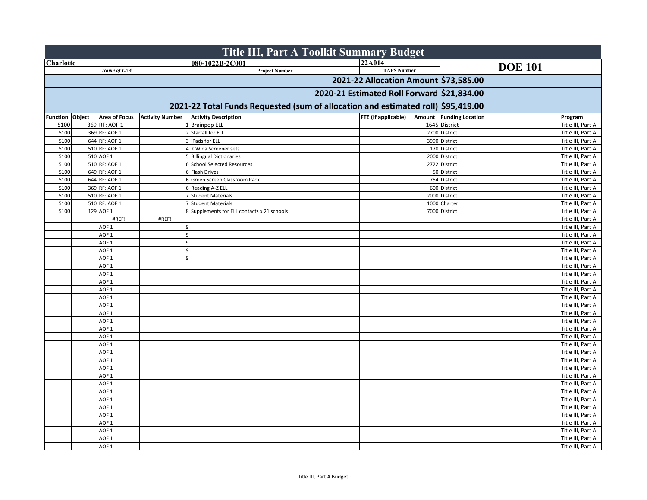|                  |                      |                        |                                             | <b>Title III, Part A Toolkit Summary Budget</b>                                  |                                            |                         |                |                   |
|------------------|----------------------|------------------------|---------------------------------------------|----------------------------------------------------------------------------------|--------------------------------------------|-------------------------|----------------|-------------------|
| <b>Charlotte</b> |                      |                        | 080-1022B-2C001                             |                                                                                  | <b>22A014</b>                              |                         | <b>DOE 101</b> |                   |
|                  | Name of LEA          |                        |                                             | <b>Project Number</b>                                                            | <b>TAPS Number</b>                         |                         |                |                   |
|                  |                      |                        |                                             |                                                                                  | 2021-22 Allocation Amount \$73,585.00      |                         |                |                   |
|                  |                      |                        |                                             |                                                                                  | 2020-21 Estimated Roll Forward \$21,834.00 |                         |                |                   |
|                  |                      |                        |                                             | 2021-22 Total Funds Requested (sum of allocation and estimated roll) \$95,419.00 |                                            |                         |                |                   |
| Function Object  | <b>Area of Focus</b> | <b>Activity Number</b> | <b>Activity Description</b>                 |                                                                                  | <b>FTE</b> (If applicable)                 | Amount Funding Location |                | Program           |
| 5100             | 369 RF: AOF 1        |                        | 1 Brainpop ELL                              |                                                                                  |                                            | 1645 District           |                | Title III, Part A |
| 5100             | 369 RF: AOF 1        |                        | 2 Starfall for ELL                          |                                                                                  |                                            | 2700 District           |                | Title III, Part A |
| 5100             | 644 RF: AOF 1        |                        | 3 iPads for ELL                             |                                                                                  |                                            | 3990 District           |                | Title III, Part A |
| 5100             | 510 RF: AOF 1        |                        | 4 K Wida Screener sets                      |                                                                                  |                                            | 170 District            |                | Title III, Part A |
| 5100             | 510 AOF 1            |                        | 5 Billingual Dictionaries                   |                                                                                  |                                            | 2000 District           |                | Title III, Part A |
| 5100             | 510 RF: AOF 1        |                        | 6 School Selected Resources                 |                                                                                  |                                            | 2722 District           |                | Title III, Part A |
| 5100             | 649 RF: AOF 1        |                        | 6 Flash Drives                              |                                                                                  |                                            | 50 District             |                | Title III, Part A |
| 5100             | 644 RF: AOF 1        |                        | 6 Green Screen Classroom Pack               |                                                                                  |                                            | 754 District            |                | Title III, Part A |
| 5100             | 369 RF: AOF 1        |                        | 6 Reading A-Z ELL                           |                                                                                  |                                            | 600 District            |                | Title III, Part A |
| 5100             | 510 RF: AOF 1        |                        | 7 Student Materials                         |                                                                                  |                                            | 2000 District           |                | Title III, Part A |
| 5100             | 510 RF: AOF 1        |                        | 7 Student Materials                         |                                                                                  |                                            | 1000 Charter            |                | Title III, Part A |
| 5100             | 129 AOF 1            |                        | 8 Supplements for ELL contacts x 21 schools |                                                                                  |                                            | 7000 District           |                | Title III, Part A |
|                  | #REF!                | #REF!                  |                                             |                                                                                  |                                            |                         |                | Title III, Part A |
|                  | AOF <sub>1</sub>     | 9                      |                                             |                                                                                  |                                            |                         |                | Title III, Part A |
|                  | AOF <sub>1</sub>     | 9                      |                                             |                                                                                  |                                            |                         |                | Title III, Part A |
|                  | AOF <sub>1</sub>     | $\overline{9}$         |                                             |                                                                                  |                                            |                         |                | Title III, Part A |
|                  | AOF <sub>1</sub>     | 9                      |                                             |                                                                                  |                                            |                         |                | Title III, Part A |
|                  | AOF <sub>1</sub>     | 9                      |                                             |                                                                                  |                                            |                         |                | Title III, Part A |
|                  | AOF <sub>1</sub>     |                        |                                             |                                                                                  |                                            |                         |                | Title III, Part A |
|                  | AOF <sub>1</sub>     |                        |                                             |                                                                                  |                                            |                         |                | Title III, Part A |
|                  | AOF <sub>1</sub>     |                        |                                             |                                                                                  |                                            |                         |                | Title III, Part A |
|                  | AOF <sub>1</sub>     |                        |                                             |                                                                                  |                                            |                         |                | Title III, Part A |
|                  | AOF <sub>1</sub>     |                        |                                             |                                                                                  |                                            |                         |                | Title III, Part A |
|                  | AOF <sub>1</sub>     |                        |                                             |                                                                                  |                                            |                         |                | Title III, Part A |
|                  | AOF <sub>1</sub>     |                        |                                             |                                                                                  |                                            |                         |                | Title III, Part A |
|                  | AOF <sub>1</sub>     |                        |                                             |                                                                                  |                                            |                         |                | Title III, Part A |
|                  | AOF <sub>1</sub>     |                        |                                             |                                                                                  |                                            |                         |                | Title III, Part A |
|                  | AOF <sub>1</sub>     |                        |                                             |                                                                                  |                                            |                         |                | Title III, Part A |
|                  | AOF <sub>1</sub>     |                        |                                             |                                                                                  |                                            |                         |                | Title III, Part A |
|                  | AOF <sub>1</sub>     |                        |                                             |                                                                                  |                                            |                         |                | Title III, Part A |
|                  | AOF <sub>1</sub>     |                        |                                             |                                                                                  |                                            |                         |                | Title III, Part A |
|                  | AOF <sub>1</sub>     |                        |                                             |                                                                                  |                                            |                         |                | Title III, Part A |
|                  | AOF <sub>1</sub>     |                        |                                             |                                                                                  |                                            |                         |                | Title III, Part A |
|                  | AOF <sub>1</sub>     |                        |                                             |                                                                                  |                                            |                         |                | Title III, Part A |
|                  | AOF <sub>1</sub>     |                        |                                             |                                                                                  |                                            |                         |                | Title III, Part A |
|                  | AOF <sub>1</sub>     |                        |                                             |                                                                                  |                                            |                         |                | Title III, Part A |
|                  | AOF <sub>1</sub>     |                        |                                             |                                                                                  |                                            |                         |                | Title III, Part A |
|                  | AOF <sub>1</sub>     |                        |                                             |                                                                                  |                                            |                         |                | Title III, Part A |
|                  | AOF <sub>1</sub>     |                        |                                             |                                                                                  |                                            |                         |                | Title III, Part A |
|                  | AOF <sub>1</sub>     |                        |                                             |                                                                                  |                                            |                         |                | Title III, Part A |
|                  | AOF <sub>1</sub>     |                        |                                             |                                                                                  |                                            |                         |                | Title III, Part A |
|                  | AOF <sub>1</sub>     |                        |                                             |                                                                                  |                                            |                         |                | Title III, Part A |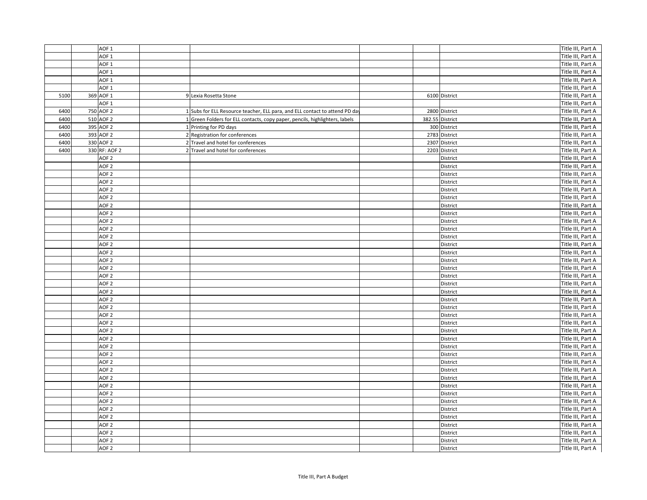|      | AOF <sub>1</sub> |                                                                             |      |                 | Title III, Part A |
|------|------------------|-----------------------------------------------------------------------------|------|-----------------|-------------------|
|      | AOF <sub>1</sub> |                                                                             |      |                 | Title III, Part A |
|      | AOF <sub>1</sub> |                                                                             |      |                 | Title III, Part A |
|      | AOF <sub>1</sub> |                                                                             |      |                 | Title III, Part A |
|      | AOF <sub>1</sub> |                                                                             |      |                 | Title III, Part A |
|      | AOF <sub>1</sub> |                                                                             |      |                 | Title III, Part A |
| 5100 | 369 AOF 1        | 9 Lexia Rosetta Stone                                                       |      | 6100 District   | Title III, Part A |
|      | AOF <sub>1</sub> |                                                                             |      |                 | Title III, Part A |
| 6400 | 750 AOF 2        | 1 Subs for ELL Resource teacher, ELL para, and ELL contact to attend PD day |      | 2800 District   | Title III, Part A |
| 6400 | 510 AOF 2        | 1 Green Folders for ELL contacts, copy paper, pencils, highlighters, labels |      | 382.55 District | Title III, Part A |
| 6400 | 395 AOF 2        | 1 Printing for PD days                                                      |      | 300 District    | Title III, Part A |
| 6400 | 393 AOF 2        | 2 Registration for conferences                                              | 2783 | District        | Title III, Part A |
| 6400 | 330 AOF 2        | 2 Travel and hotel for conferences                                          |      | 2307 District   | Title III, Part A |
| 6400 | 330 RF: AOF 2    | 2 Travel and hotel for conferences                                          |      | 2203 District   | Title III, Part A |
|      | AOF <sub>2</sub> |                                                                             |      | District        | Title III, Part A |
|      | AOF <sub>2</sub> |                                                                             |      | District        | Title III, Part A |
|      | AOF <sub>2</sub> |                                                                             |      | District        | Title III, Part A |
|      | AOF <sub>2</sub> |                                                                             |      | District        | Title III, Part A |
|      | AOF <sub>2</sub> |                                                                             |      | District        | Title III, Part A |
|      | AOF <sub>2</sub> |                                                                             |      | District        | Title III, Part A |
|      | AOF <sub>2</sub> |                                                                             |      | District        | Title III, Part A |
|      | AOF <sub>2</sub> |                                                                             |      | District        | Title III, Part A |
|      | AOF <sub>2</sub> |                                                                             |      | District        | Title III, Part A |
|      | AOF <sub>2</sub> |                                                                             |      | District        | Title III, Part A |
|      | AOF <sub>2</sub> |                                                                             |      | District        | Title III, Part A |
|      | AOF <sub>2</sub> |                                                                             |      | District        | Title III, Part A |
|      | AOF <sub>2</sub> |                                                                             |      | District        | Title III, Part A |
|      | AOF <sub>2</sub> |                                                                             |      | District        | Title III, Part A |
|      | AOF <sub>2</sub> |                                                                             |      | District        | Title III, Part A |
|      | AOF <sub>2</sub> |                                                                             |      | District        | Title III, Part A |
|      | AOF <sub>2</sub> |                                                                             |      | District        | Title III, Part A |
|      | AOF <sub>2</sub> |                                                                             |      | District        | Title III, Part A |
|      | AOF <sub>2</sub> |                                                                             |      | District        | Title III, Part A |
|      | AOF <sub>2</sub> |                                                                             |      | District        | Title III, Part A |
|      | AOF <sub>2</sub> |                                                                             |      | District        | Title III, Part A |
|      | AOF <sub>2</sub> |                                                                             |      | District        | Title III, Part A |
|      | AOF <sub>2</sub> |                                                                             |      | District        | Title III, Part A |
|      | AOF <sub>2</sub> |                                                                             |      | District        | Title III, Part A |
|      | AOF <sub>2</sub> |                                                                             |      | District        | Title III, Part A |
|      | AOF <sub>2</sub> |                                                                             |      | District        | Title III, Part A |
|      | AOF <sub>2</sub> |                                                                             |      | District        | Title III, Part A |
|      | AOF <sub>2</sub> |                                                                             |      | District        | Title III, Part A |
|      | AOF <sub>2</sub> |                                                                             |      | District        | Title III, Part A |
|      | AOF <sub>2</sub> |                                                                             |      | District        | Title III, Part A |
|      | AOF <sub>2</sub> |                                                                             |      | District        | Title III, Part A |
|      | AOF <sub>2</sub> |                                                                             |      | District        | Title III, Part A |
|      | AOF <sub>2</sub> |                                                                             |      | District        | Title III, Part A |
|      | AOF <sub>2</sub> |                                                                             |      | District        | Title III, Part A |
|      | AOF <sub>2</sub> |                                                                             |      | District        | Title III, Part A |
|      | AOF <sub>2</sub> |                                                                             |      | District        | Title III, Part A |
|      | AOF <sub>2</sub> |                                                                             |      | District        | Title III, Part A |
|      | AOF <sub>2</sub> |                                                                             |      | District        | Title III, Part A |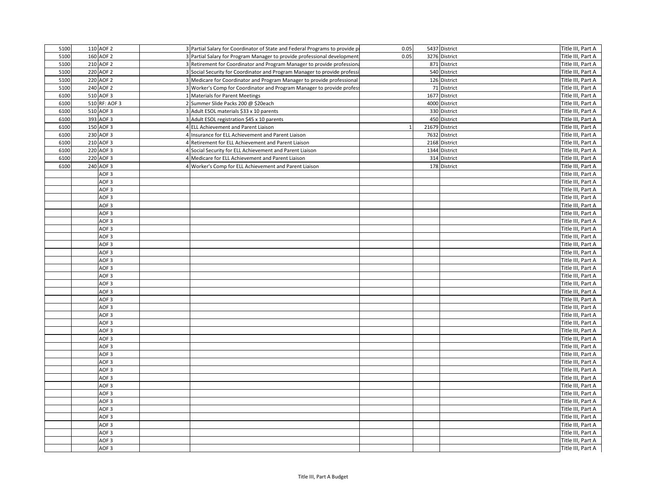| 5100 | 110 AOF 2        | 3 Partial Salary for Coordinator of State and Federal Programs to provide p | 0.05 | 5437 District  | Title III, Part A |
|------|------------------|-----------------------------------------------------------------------------|------|----------------|-------------------|
| 5100 | 160 AOF 2        | 3 Partial Salary for Program Manager to provide professional development    | 0.05 | 3276 District  | Title III, Part A |
| 5100 | 210 AOF 2        | 3 Retirement for Coordinator and Program Manager to provide professiona     |      | 871 District   | Title III, Part A |
| 5100 | 220 AOF 2        | 3 Social Security for Coordinator and Program Manager to provide professi   |      | 540 District   | Title III, Part A |
| 5100 | 220 AOF 2        | 3 Medicare for Coordinator and Program Manager to provide professional      |      | 126 District   | Title III, Part A |
| 5100 | 240 AOF 2        | 3 Worker's Comp for Coordinator and Program Manager to provide profess      |      | 71 District    | Title III, Part A |
| 6100 | 510 AOF 3        | 1 Materials for Parent Meetings                                             |      | 1677 District  | Title III, Part A |
| 6100 | 510 RF: AOF 3    | 2 Summer Slide Packs 200 @ \$20each                                         |      | 4000 District  | Title III, Part A |
| 6100 | 510 AOF 3        | 3 Adult ESOL materials \$33 x 10 parents                                    |      | 330 District   | Title III, Part A |
| 6100 | 393 AOF 3        | 3 Adult ESOL registration \$45 x 10 parents                                 |      | 450 District   | Title III, Part A |
| 6100 | 150 AOF 3        | 4 ELL Achievement and Parent Liaison                                        |      | 21679 District | Title III, Part A |
| 6100 | 230 AOF 3        | 4 Insurance for ELL Achievement and Parent Liaison                          |      | 7632 District  | Title III, Part A |
| 6100 | 210 AOF 3        | 4 Retirement for ELL Achievement and Parent Liaison                         |      | 2168 District  | Title III, Part A |
| 6100 | 220 AOF 3        | 4 Social Security for ELL Achievement and Parent Liaison                    |      | 1344 District  | Title III, Part A |
| 6100 | 220 AOF 3        | 4 Medicare for ELL Achievement and Parent Liaison                           |      | 314 District   | Title III, Part A |
| 6100 | 240 AOF 3        | 4 Worker's Comp for ELL Achievement and Parent Liaison                      |      | 178 District   | Title III, Part A |
|      | AOF <sub>3</sub> |                                                                             |      |                | Title III, Part A |
|      | AOF <sub>3</sub> |                                                                             |      |                | Title III, Part A |
|      | AOF <sub>3</sub> |                                                                             |      |                | Title III, Part A |
|      | AOF <sub>3</sub> |                                                                             |      |                | Title III, Part A |
|      | AOF <sub>3</sub> |                                                                             |      |                | Title III, Part A |
|      | AOF <sub>3</sub> |                                                                             |      |                | Title III, Part A |
|      | AOF <sub>3</sub> |                                                                             |      |                | Title III, Part A |
|      | AOF <sub>3</sub> |                                                                             |      |                | Title III, Part A |
|      | AOF <sub>3</sub> |                                                                             |      |                | Title III, Part A |
|      | AOF <sub>3</sub> |                                                                             |      |                | Title III, Part A |
|      | AOF <sub>3</sub> |                                                                             |      |                | Title III, Part A |
|      |                  |                                                                             |      |                |                   |
|      | AOF <sub>3</sub> |                                                                             |      |                | Title III, Part A |
|      | AOF <sub>3</sub> |                                                                             |      |                | Title III, Part A |
|      | AOF <sub>3</sub> |                                                                             |      |                | Title III, Part A |
|      | AOF <sub>3</sub> |                                                                             |      |                | Title III, Part A |
|      | AOF <sub>3</sub> |                                                                             |      |                | Title III, Part A |
|      | AOF <sub>3</sub> |                                                                             |      |                | Title III, Part A |
|      | AOF <sub>3</sub> |                                                                             |      |                | Title III, Part A |
|      | AOF <sub>3</sub> |                                                                             |      |                | Title III, Part A |
|      | AOF <sub>3</sub> |                                                                             |      |                | Title III, Part A |
|      | AOF <sub>3</sub> |                                                                             |      |                | Title III, Part A |
|      | AOF <sub>3</sub> |                                                                             |      |                | Title III, Part A |
|      | AOF <sub>3</sub> |                                                                             |      |                | Title III, Part A |
|      | AOF <sub>3</sub> |                                                                             |      |                | Title III, Part A |
|      | AOF <sub>3</sub> |                                                                             |      |                | Title III, Part A |
|      | AOF <sub>3</sub> |                                                                             |      |                | Title III, Part A |
|      | AOF <sub>3</sub> |                                                                             |      |                | Title III, Part A |
|      | AOF <sub>3</sub> |                                                                             |      |                | Title III, Part A |
|      | AOF <sub>3</sub> |                                                                             |      |                | Title III, Part A |
|      | AOF <sub>3</sub> |                                                                             |      |                | Title III, Part A |
|      | AOF <sub>3</sub> |                                                                             |      |                | Title III, Part A |
|      | AOF <sub>3</sub> |                                                                             |      |                | Title III, Part A |
|      | AOF <sub>3</sub> |                                                                             |      |                | Title III, Part A |
|      | AOF <sub>3</sub> |                                                                             |      |                | Title III, Part A |
|      | AOF <sub>3</sub> |                                                                             |      |                | Title III, Part A |
|      | AOF <sub>3</sub> |                                                                             |      |                | Title III, Part A |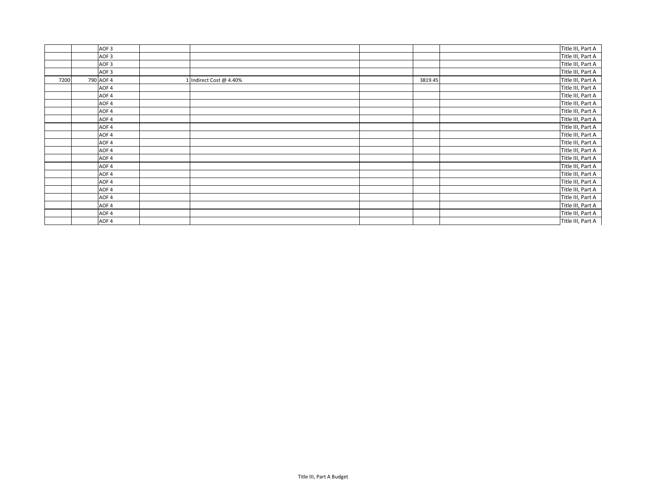|      | AOF <sub>3</sub> |                         |         | Title III, Part A |
|------|------------------|-------------------------|---------|-------------------|
|      | AOF <sub>3</sub> |                         |         | Title III, Part A |
|      | AOF <sub>3</sub> |                         |         | Title III, Part A |
|      | AOF <sub>3</sub> |                         |         | Title III, Part A |
| 7200 | 790 AOF 4        | 1 Indirect Cost @ 4.40% | 3819.45 | Title III, Part A |
|      | AOF 4            |                         |         | Title III, Part A |
|      | AOF 4            |                         |         | Title III, Part A |
|      | AOF 4            |                         |         | Title III, Part A |
|      | AOF 4            |                         |         | Title III, Part A |
|      | AOF 4            |                         |         | Title III, Part A |
|      | AOF 4            |                         |         | Title III, Part A |
|      | AOF 4            |                         |         | Title III, Part A |
|      | AOF 4            |                         |         | Title III, Part A |
|      | AOF 4            |                         |         | Title III, Part A |
|      | AOF 4            |                         |         | Title III, Part A |
|      | AOF 4            |                         |         | Title III, Part A |
|      | AOF 4            |                         |         | Title III, Part A |
|      | AOF 4            |                         |         | Title III, Part A |
|      | AOF 4            |                         |         | Title III, Part A |
|      | AOF 4            |                         |         | Title III, Part A |
|      | AOF 4            |                         |         | Title III, Part A |
|      | AOF 4            |                         |         | Title III, Part A |
|      | AOF <sub>4</sub> |                         |         | Title III, Part A |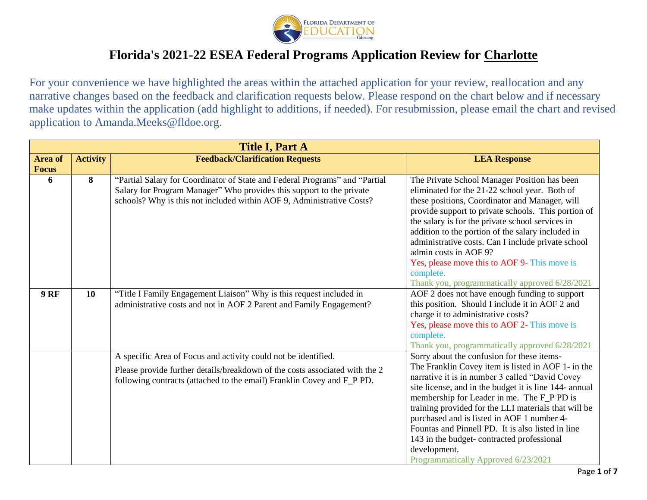

|              | <b>Title I, Part A</b> |                                                                                                                                                                                                                              |                                                                                                                                                                                                                                                                                                                                                                                                                                                                                                               |  |  |  |  |  |
|--------------|------------------------|------------------------------------------------------------------------------------------------------------------------------------------------------------------------------------------------------------------------------|---------------------------------------------------------------------------------------------------------------------------------------------------------------------------------------------------------------------------------------------------------------------------------------------------------------------------------------------------------------------------------------------------------------------------------------------------------------------------------------------------------------|--|--|--|--|--|
| Area of      | <b>Activity</b>        | <b>Feedback/Clarification Requests</b>                                                                                                                                                                                       | <b>LEA Response</b>                                                                                                                                                                                                                                                                                                                                                                                                                                                                                           |  |  |  |  |  |
| <b>Focus</b> |                        |                                                                                                                                                                                                                              |                                                                                                                                                                                                                                                                                                                                                                                                                                                                                                               |  |  |  |  |  |
| 6            | 8                      | "Partial Salary for Coordinator of State and Federal Programs" and "Partial<br>Salary for Program Manager" Who provides this support to the private<br>schools? Why is this not included within AOF 9, Administrative Costs? | The Private School Manager Position has been<br>eliminated for the 21-22 school year. Both of<br>these positions, Coordinator and Manager, will<br>provide support to private schools. This portion of<br>the salary is for the private school services in<br>addition to the portion of the salary included in<br>administrative costs. Can I include private school<br>admin costs in AOF 9?<br>Yes, please move this to AOF 9- This move is<br>complete.<br>Thank you, programmatically approved 6/28/2021 |  |  |  |  |  |
| <b>9 RF</b>  | 10                     | "Title I Family Engagement Liaison" Why is this request included in<br>administrative costs and not in AOF 2 Parent and Family Engagement?                                                                                   | AOF 2 does not have enough funding to support<br>this position. Should I include it in AOF 2 and<br>charge it to administrative costs?<br>Yes, please move this to AOF 2- This move is<br>complete.<br>Thank you, programmatically approved 6/28/2021                                                                                                                                                                                                                                                         |  |  |  |  |  |
|              |                        | A specific Area of Focus and activity could not be identified.                                                                                                                                                               | Sorry about the confusion for these items-                                                                                                                                                                                                                                                                                                                                                                                                                                                                    |  |  |  |  |  |
|              |                        | Please provide further details/breakdown of the costs associated with the 2<br>following contracts (attached to the email) Franklin Covey and F_P PD.                                                                        | The Franklin Covey item is listed in AOF 1- in the<br>narrative it is in number 3 called "David Covey<br>site license, and in the budget it is line 144- annual<br>membership for Leader in me. The F_P PD is<br>training provided for the LLI materials that will be<br>purchased and is listed in AOF 1 number 4-<br>Fountas and Pinnell PD. It is also listed in line<br>143 in the budget-contracted professional<br>development.<br>Programmatically Approved 6/23/2021                                  |  |  |  |  |  |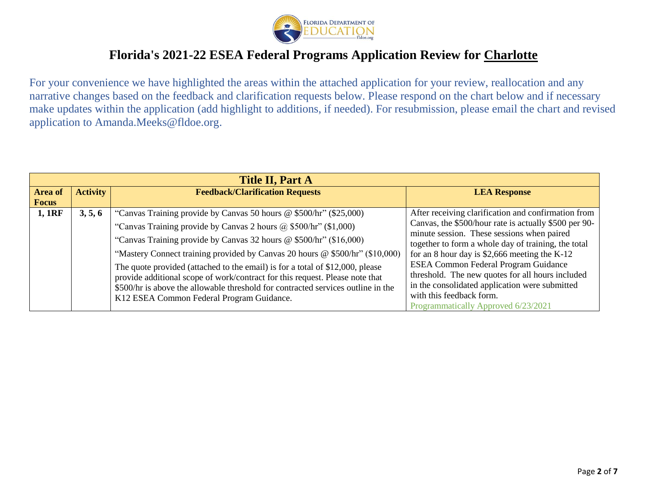

| <b>Title II, Part A</b> |                 |                                                                                  |                                                       |  |  |  |  |
|-------------------------|-----------------|----------------------------------------------------------------------------------|-------------------------------------------------------|--|--|--|--|
| <b>Area of</b>          | <b>Activity</b> | <b>Feedback/Clarification Requests</b>                                           | <b>LEA Response</b>                                   |  |  |  |  |
| <b>Focus</b>            |                 |                                                                                  |                                                       |  |  |  |  |
| 1,1RF                   | 3, 5, 6         | "Canvas Training provide by Canvas 50 hours @ \$500/hr" (\$25,000)               | After receiving clarification and confirmation from   |  |  |  |  |
|                         |                 | "Canvas Training provide by Canvas 2 hours $\omega$ \$500/hr" (\$1,000)          | Canvas, the \$500/hour rate is actually \$500 per 90- |  |  |  |  |
|                         |                 | "Canvas Training provide by Canvas 32 hours @ \$500/hr" (\$16,000)               | minute session. These sessions when paired            |  |  |  |  |
|                         |                 |                                                                                  | together to form a whole day of training, the total   |  |  |  |  |
|                         |                 | "Mastery Connect training provided by Canvas 20 hours @ \$500/hr" (\$10,000)     | for an 8 hour day is \$2,666 meeting the $K-12$       |  |  |  |  |
|                         |                 | The quote provided (attached to the email) is for a total of \$12,000, please    | <b>ESEA Common Federal Program Guidance</b>           |  |  |  |  |
|                         |                 | provide additional scope of work/contract for this request. Please note that     | threshold. The new quotes for all hours included      |  |  |  |  |
|                         |                 | \$500/hr is above the allowable threshold for contracted services outline in the | in the consolidated application were submitted        |  |  |  |  |
|                         |                 | K12 ESEA Common Federal Program Guidance.                                        | with this feedback form.                              |  |  |  |  |
|                         |                 |                                                                                  | Programmatically Approved 6/23/2021                   |  |  |  |  |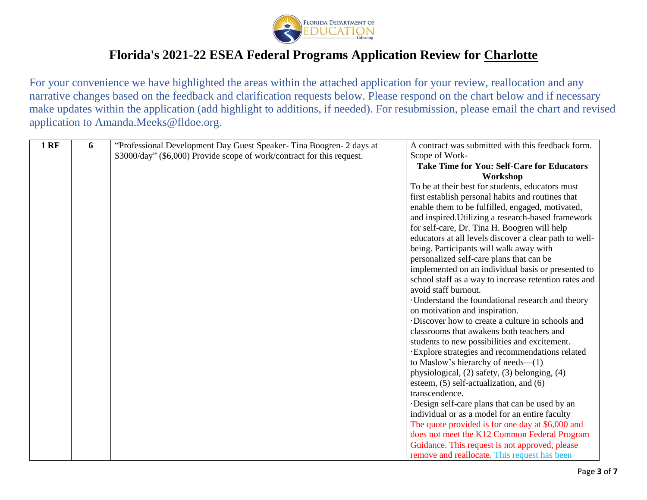

|   | A contract was submitted with this feedback form.                                                                                             |
|---|-----------------------------------------------------------------------------------------------------------------------------------------------|
|   |                                                                                                                                               |
|   | Scope of Work-                                                                                                                                |
|   | <b>Take Time for You: Self-Care for Educators</b>                                                                                             |
|   | Workshop                                                                                                                                      |
|   | To be at their best for students, educators must                                                                                              |
|   | first establish personal habits and routines that                                                                                             |
|   | enable them to be fulfilled, engaged, motivated,                                                                                              |
|   | and inspired. Utilizing a research-based framework                                                                                            |
|   | for self-care, Dr. Tina H. Boogren will help                                                                                                  |
|   | educators at all levels discover a clear path to well-                                                                                        |
|   | being. Participants will walk away with                                                                                                       |
|   | personalized self-care plans that can be                                                                                                      |
|   | implemented on an individual basis or presented to                                                                                            |
|   | school staff as a way to increase retention rates and                                                                                         |
|   | avoid staff burnout.                                                                                                                          |
|   | · Understand the foundational research and theory                                                                                             |
|   | on motivation and inspiration.                                                                                                                |
|   | Discover how to create a culture in schools and                                                                                               |
|   | classrooms that awakens both teachers and                                                                                                     |
|   | students to new possibilities and excitement.                                                                                                 |
|   | Explore strategies and recommendations related                                                                                                |
|   | to Maslow's hierarchy of needs— $(1)$                                                                                                         |
|   | physiological, (2) safety, (3) belonging, (4)                                                                                                 |
|   | esteem, $(5)$ self-actualization, and $(6)$                                                                                                   |
|   | transcendence.                                                                                                                                |
|   | Design self-care plans that can be used by an                                                                                                 |
|   | individual or as a model for an entire faculty                                                                                                |
|   | The quote provided is for one day at \$6,000 and                                                                                              |
|   | does not meet the K12 Common Federal Program                                                                                                  |
|   | Guidance. This request is not approved, please                                                                                                |
|   | remove and reallocate. This request has been                                                                                                  |
| 6 | "Professional Development Day Guest Speaker-Tina Boogren- 2 days at<br>\$3000/day" (\$6,000) Provide scope of work/contract for this request. |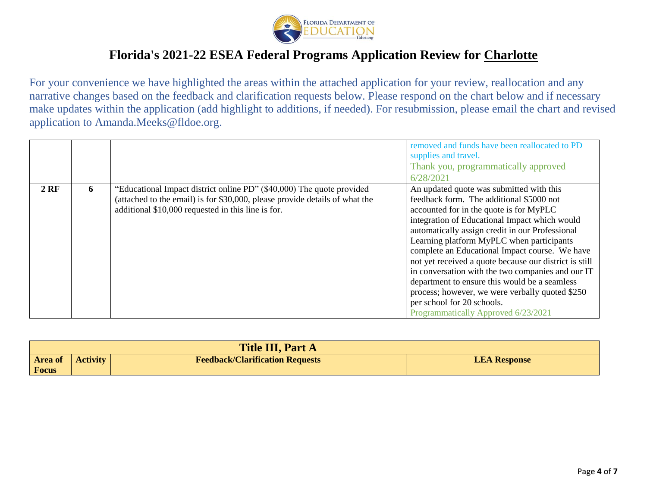

|        |   |                                                                                                                                                                                                            | removed and funds have been reallocated to PD<br>supplies and travel.<br>Thank you, programmatically approved<br>6/28/2021                                                                                                                                                                                                                                                                                                                                                                                                                                                                                                 |
|--------|---|------------------------------------------------------------------------------------------------------------------------------------------------------------------------------------------------------------|----------------------------------------------------------------------------------------------------------------------------------------------------------------------------------------------------------------------------------------------------------------------------------------------------------------------------------------------------------------------------------------------------------------------------------------------------------------------------------------------------------------------------------------------------------------------------------------------------------------------------|
| $2$ RF | 6 | "Educational Impact district online PD" (\$40,000) The quote provided<br>(attached to the email) is for \$30,000, please provide details of what the<br>additional \$10,000 requested in this line is for. | An updated quote was submitted with this<br>feedback form. The additional \$5000 not<br>accounted for in the quote is for MyPLC<br>integration of Educational Impact which would<br>automatically assign credit in our Professional<br>Learning platform MyPLC when participants<br>complete an Educational Impact course. We have<br>not yet received a quote because our district is still<br>in conversation with the two companies and our IT<br>department to ensure this would be a seamless<br>process; however, we were verbally quoted \$250<br>per school for 20 schools.<br>Programmatically Approved 6/23/2021 |

| <b>Title III, Part A</b> |                 |                                        |                     |  |  |  |
|--------------------------|-----------------|----------------------------------------|---------------------|--|--|--|
| <b>Area of</b>           | <b>Activity</b> | <b>Feedback/Clarification Requests</b> | <b>LEA Response</b> |  |  |  |
| Focus                    |                 |                                        |                     |  |  |  |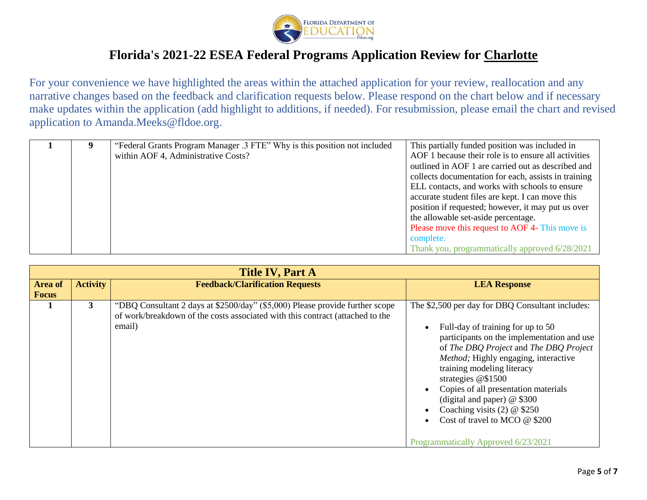

|  | "Federal Grants Program Manager .3 FTE" Why is this position not included | This partially funded position was included in       |
|--|---------------------------------------------------------------------------|------------------------------------------------------|
|  | within AOF 4, Administrative Costs?                                       | AOF 1 because their role is to ensure all activities |
|  |                                                                           | outlined in AOF 1 are carried out as described and   |
|  |                                                                           | collects documentation for each, assists in training |
|  |                                                                           | ELL contacts, and works with schools to ensure       |
|  |                                                                           | accurate student files are kept. I can move this     |
|  |                                                                           | position if requested; however, it may put us over   |
|  |                                                                           | the allowable set-aside percentage.                  |
|  |                                                                           | Please move this request to AOF 4- This move is      |
|  |                                                                           | complete.                                            |
|  |                                                                           | Thank you, programmatically approved 6/28/2021       |

|              | <b>Title IV, Part A</b> |                                                                                                                                                               |                                                                                                                                                                                                                                                                                                                                                                       |  |  |  |  |
|--------------|-------------------------|---------------------------------------------------------------------------------------------------------------------------------------------------------------|-----------------------------------------------------------------------------------------------------------------------------------------------------------------------------------------------------------------------------------------------------------------------------------------------------------------------------------------------------------------------|--|--|--|--|
| Area of      | <b>Activity</b>         | <b>Feedback/Clarification Requests</b>                                                                                                                        | <b>LEA Response</b>                                                                                                                                                                                                                                                                                                                                                   |  |  |  |  |
| <b>Focus</b> |                         |                                                                                                                                                               |                                                                                                                                                                                                                                                                                                                                                                       |  |  |  |  |
|              | 3 <sup>1</sup>          | "DBQ Consultant 2 days at \$2500/day" (\$5,000) Please provide further scope<br>of work/breakdown of the costs associated with this contract (attached to the | The \$2,500 per day for DBQ Consultant includes:                                                                                                                                                                                                                                                                                                                      |  |  |  |  |
|              |                         | email)                                                                                                                                                        | Full-day of training for up to 50<br>participants on the implementation and use<br>of The DBQ Project and The DBQ Project<br>Method; Highly engaging, interactive<br>training modeling literacy<br>strategies @\$1500<br>Copies of all presentation materials<br>(digital and paper) $@$ \$300<br>Coaching visits $(2) \otimes $250$<br>Cost of travel to MCO @ \$200 |  |  |  |  |
|              |                         |                                                                                                                                                               | Programmatically Approved 6/23/2021                                                                                                                                                                                                                                                                                                                                   |  |  |  |  |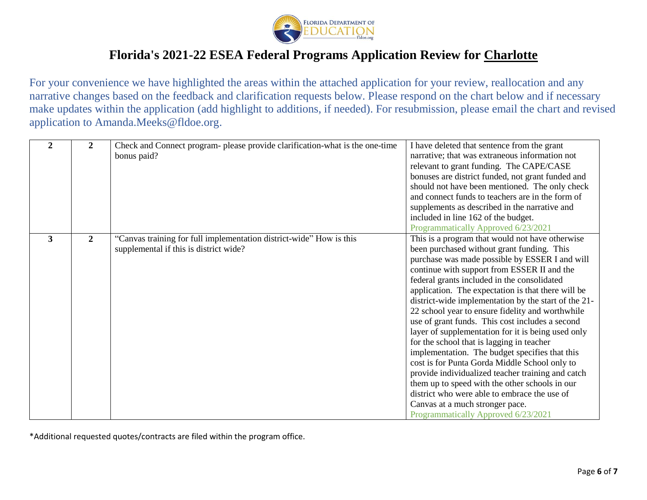

For your convenience we have highlighted the areas within the attached application for your review, reallocation and any narrative changes based on the feedback and clarification requests below. Please respond on the chart below and if necessary make updates within the application (add highlight to additions, if needed). For resubmission, please email the chart and revised application to Amanda.Meeks@fldoe.org.

| 2            | 2            | Check and Connect program- please provide clarification-what is the one-time<br>bonus paid?                   | I have deleted that sentence from the grant<br>narrative; that was extraneous information not<br>relevant to grant funding. The CAPE/CASE<br>bonuses are district funded, not grant funded and<br>should not have been mentioned. The only check<br>and connect funds to teachers are in the form of<br>supplements as described in the narrative and<br>included in line 162 of the budget.<br>Programmatically Approved 6/23/2021                                                                                                                                                                                                                                                                                                                                                                                                                                                                       |
|--------------|--------------|---------------------------------------------------------------------------------------------------------------|-----------------------------------------------------------------------------------------------------------------------------------------------------------------------------------------------------------------------------------------------------------------------------------------------------------------------------------------------------------------------------------------------------------------------------------------------------------------------------------------------------------------------------------------------------------------------------------------------------------------------------------------------------------------------------------------------------------------------------------------------------------------------------------------------------------------------------------------------------------------------------------------------------------|
| $\mathbf{3}$ | $\mathbf{2}$ | "Canvas training for full implementation district-wide" How is this<br>supplemental if this is district wide? | This is a program that would not have otherwise<br>been purchased without grant funding. This<br>purchase was made possible by ESSER I and will<br>continue with support from ESSER II and the<br>federal grants included in the consolidated<br>application. The expectation is that there will be<br>district-wide implementation by the start of the 21-<br>22 school year to ensure fidelity and worthwhile<br>use of grant funds. This cost includes a second<br>layer of supplementation for it is being used only<br>for the school that is lagging in teacher<br>implementation. The budget specifies that this<br>cost is for Punta Gorda Middle School only to<br>provide individualized teacher training and catch<br>them up to speed with the other schools in our<br>district who were able to embrace the use of<br>Canvas at a much stronger pace.<br>Programmatically Approved 6/23/2021 |

\*Additional requested quotes/contracts are filed within the program office.